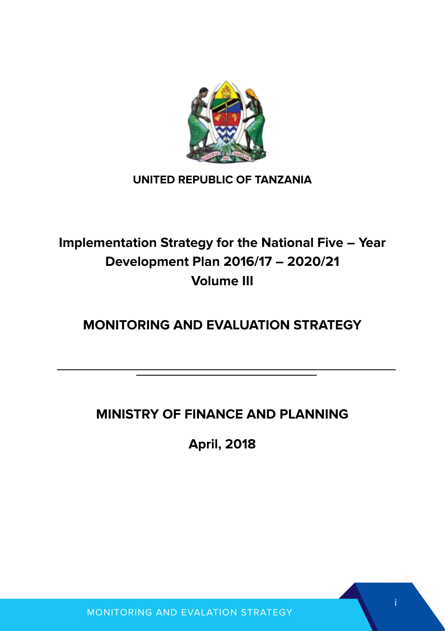

#### **UNITED REPUBLIC OF TANZANIA**

## **Implementation Strategy for the National Five – Year Development Plan 2016/17 – 2020/21 Volume III**

## **MONITORING AND EVALUATION STRATEGY**

## **MINISTRY OF FINANCE AND PLANNING**

**April, 2018**

i

MONITORING AND EVALATION STRATEGY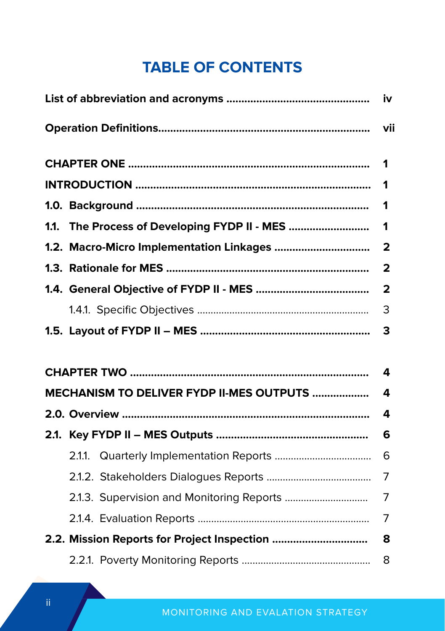## **TABLE OF CONTENTS**

|                                          | iv                      |
|------------------------------------------|-------------------------|
|                                          |                         |
|                                          |                         |
|                                          |                         |
|                                          |                         |
|                                          |                         |
|                                          |                         |
|                                          |                         |
|                                          | $\overline{\mathbf{2}}$ |
|                                          | 3                       |
|                                          |                         |
|                                          | 4                       |
| MECHANISM TO DELIVER FYDP II-MES OUTPUTS | 4                       |
|                                          | 4                       |
|                                          |                         |
|                                          |                         |
|                                          | 7                       |
|                                          | 7                       |
|                                          |                         |
|                                          |                         |
|                                          | 8                       |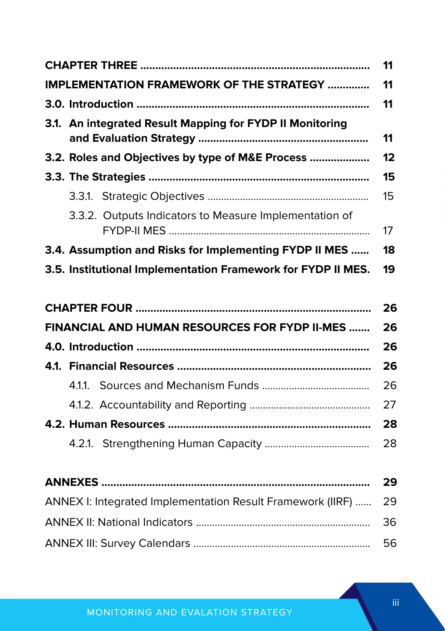|  |                                                              | 11 |
|--|--------------------------------------------------------------|----|
|  | <b>IMPLEMENTATION FRAMEWORK OF THE STRATEGY </b>             | 11 |
|  |                                                              | 11 |
|  | 3.1. An integrated Result Mapping for FYDP II Monitoring     | 11 |
|  | 3.2. Roles and Objectives by type of M&E Process             | 12 |
|  |                                                              | 15 |
|  |                                                              | 15 |
|  | 3.3.2. Outputs Indicators to Measure Implementation of       | 17 |
|  | 3.4. Assumption and Risks for Implementing FYDP II MES       | 18 |
|  | 3.5. Institutional Implementation Framework for FYDP II MES. | 19 |
|  |                                                              |    |
|  |                                                              | 26 |
|  | <b>FINANCIAL AND HUMAN RESOURCES FOR FYDP II-MES </b>        | 26 |
|  |                                                              | 26 |
|  |                                                              | 26 |
|  |                                                              | 26 |
|  |                                                              | 27 |
|  |                                                              | 28 |
|  |                                                              | 28 |
|  |                                                              |    |
|  |                                                              | 29 |
|  | ANNEX I: Integrated Implementation Result Framework (IIRF)   | 29 |
|  |                                                              | 36 |
|  |                                                              | 56 |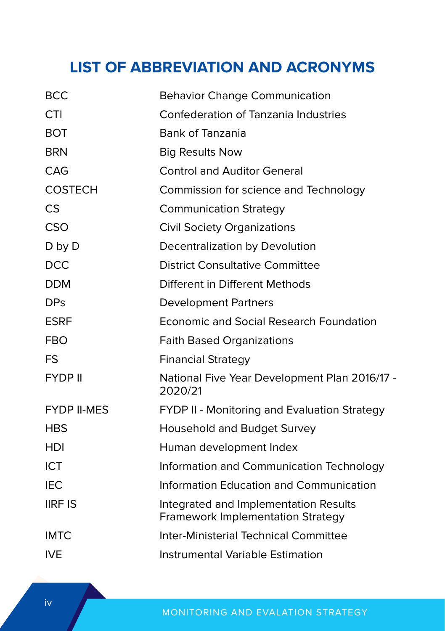## **LIST OF ABBREVIATION AND ACRONYMS**

| <b>BCC</b>         | <b>Behavior Change Communication</b>                                              |
|--------------------|-----------------------------------------------------------------------------------|
| <b>CTI</b>         | Confederation of Tanzania Industries                                              |
| <b>BOT</b>         | <b>Bank of Tanzania</b>                                                           |
| <b>BRN</b>         | <b>Big Results Now</b>                                                            |
| CAG                | <b>Control and Auditor General</b>                                                |
| <b>COSTECH</b>     | Commission for science and Technology                                             |
| <b>CS</b>          | <b>Communication Strategy</b>                                                     |
| CSO                | <b>Civil Society Organizations</b>                                                |
| D by D             | Decentralization by Devolution                                                    |
| <b>DCC</b>         | District Consultative Committee                                                   |
| <b>DDM</b>         | Different in Different Methods                                                    |
| <b>DPs</b>         | <b>Development Partners</b>                                                       |
| <b>ESRF</b>        | <b>Economic and Social Research Foundation</b>                                    |
| <b>FBO</b>         | <b>Faith Based Organizations</b>                                                  |
| <b>FS</b>          | <b>Financial Strategy</b>                                                         |
| <b>FYDP II</b>     | National Five Year Development Plan 2016/17 -<br>2020/21                          |
| <b>FYDP II-MES</b> | FYDP II - Monitoring and Evaluation Strategy                                      |
| <b>HBS</b>         | Household and Budget Survey                                                       |
| <b>HDI</b>         | Human development Index                                                           |
| <b>ICT</b>         | Information and Communication Technology                                          |
| IEC.               | Information Education and Communication                                           |
| <b>IIRF IS</b>     | Integrated and Implementation Results<br><b>Framework Implementation Strategy</b> |
| <b>IMTC</b>        | Inter-Ministerial Technical Committee                                             |
| <b>IVE</b>         | Instrumental Variable Estimation                                                  |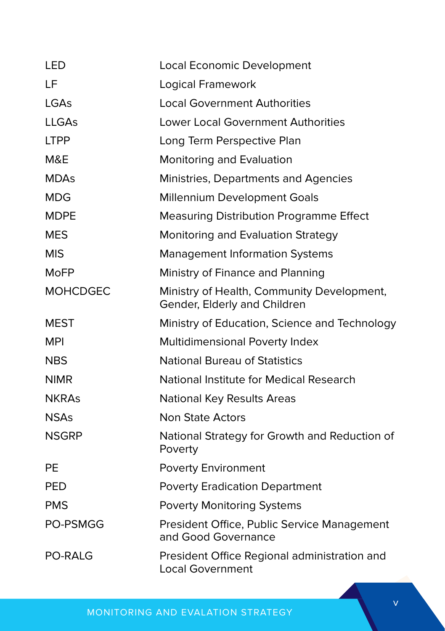| LED             | Local Economic Development                                                 |
|-----------------|----------------------------------------------------------------------------|
| LF              | Logical Framework                                                          |
| LGAs            | <b>Local Government Authorities</b>                                        |
| LLGAs           | Lower Local Government Authorities                                         |
| <b>LTPP</b>     | Long Term Perspective Plan                                                 |
| M&E             | Monitoring and Evaluation                                                  |
| <b>MDAs</b>     | Ministries, Departments and Agencies                                       |
| MDG             | Millennium Development Goals                                               |
| <b>MDPE</b>     | <b>Measuring Distribution Programme Effect</b>                             |
| <b>MES</b>      | Monitoring and Evaluation Strategy                                         |
| <b>MIS</b>      | <b>Management Information Systems</b>                                      |
| MoFP            | Ministry of Finance and Planning                                           |
| <b>MOHCDGEC</b> | Ministry of Health, Community Development,<br>Gender, Elderly and Children |
| <b>MEST</b>     | Ministry of Education, Science and Technology                              |
| <b>MPI</b>      | Multidimensional Poverty Index                                             |
| <b>NBS</b>      | <b>National Bureau of Statistics</b>                                       |
| <b>NIMR</b>     | National Institute for Medical Research                                    |
| <b>NKRAs</b>    | National Key Results Areas                                                 |
| <b>NSAs</b>     | <b>Non State Actors</b>                                                    |
| <b>NSGRP</b>    | National Strategy for Growth and Reduction of<br>Poverty                   |
| PE              | <b>Poverty Environment</b>                                                 |
| <b>PED</b>      | <b>Poverty Eradication Department</b>                                      |
| <b>PMS</b>      | <b>Poverty Monitoring Systems</b>                                          |
| PO-PSMGG        | President Office, Public Service Management<br>and Good Governance         |
| <b>PO-RALG</b>  | President Office Regional administration and<br>Local Government           |

MONITORING AND EVALATION STRATEGY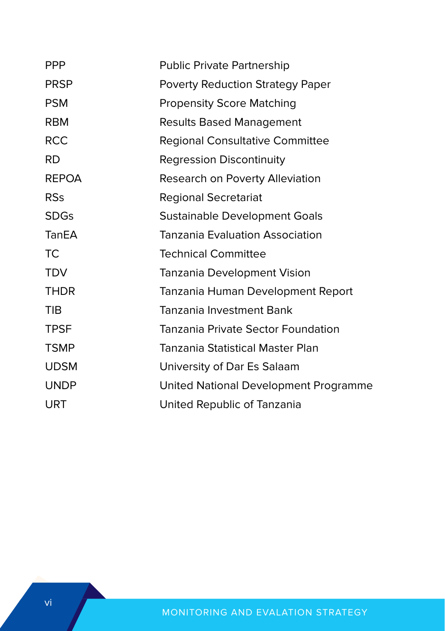| <b>PPP</b>   | <b>Public Private Partnership</b>       |
|--------------|-----------------------------------------|
| <b>PRSP</b>  | <b>Poverty Reduction Strategy Paper</b> |
| <b>PSM</b>   | <b>Propensity Score Matching</b>        |
| <b>RBM</b>   | <b>Results Based Management</b>         |
| <b>RCC</b>   | <b>Regional Consultative Committee</b>  |
| <b>RD</b>    | <b>Regression Discontinuity</b>         |
| <b>REPOA</b> | Research on Poverty Alleviation         |
| <b>RSs</b>   | <b>Regional Secretariat</b>             |
| <b>SDGs</b>  | Sustainable Development Goals           |
| TanEA        | Tanzania Evaluation Association         |
| <b>TC</b>    | <b>Technical Committee</b>              |
| <b>TDV</b>   | Tanzania Development Vision             |
| <b>THDR</b>  | Tanzania Human Development Report       |
| <b>TIB</b>   | Tanzania Investment Bank                |
| <b>TPSF</b>  | Tanzania Private Sector Foundation      |
| <b>TSMP</b>  | Tanzania Statistical Master Plan        |
| <b>UDSM</b>  | University of Dar Es Salaam             |
| <b>UNDP</b>  | United National Development Programme   |
| URT          | United Republic of Tanzania             |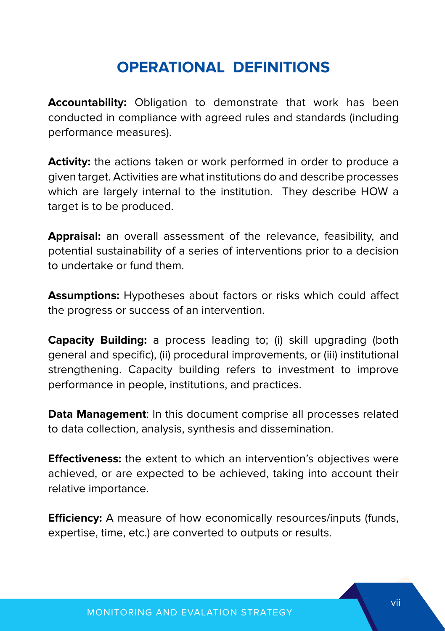## **OPERATIONAL DEFINITIONS**

**Accountability:** Obligation to demonstrate that work has been conducted in compliance with agreed rules and standards (including performance measures).

**Activity:** the actions taken or work performed in order to produce a given target. Activities are what institutions do and describe processes which are largely internal to the institution. They describe HOW a target is to be produced.

**Appraisal:** an overall assessment of the relevance, feasibility, and potential sustainability of a series of interventions prior to a decision to undertake or fund them.

**Assumptions:** Hypotheses about factors or risks which could affect the progress or success of an intervention.

**Capacity Building:** a process leading to; (i) skill upgrading (both general and specific), (ii) procedural improvements, or (iii) institutional strengthening. Capacity building refers to investment to improve performance in people, institutions, and practices.

**Data Management**: In this document comprise all processes related to data collection, analysis, synthesis and dissemination.

**Effectiveness:** the extent to which an intervention's objectives were achieved, or are expected to be achieved, taking into account their relative importance.

**Efficiency:** A measure of how economically resources/inputs (funds, expertise, time, etc.) are converted to outputs or results.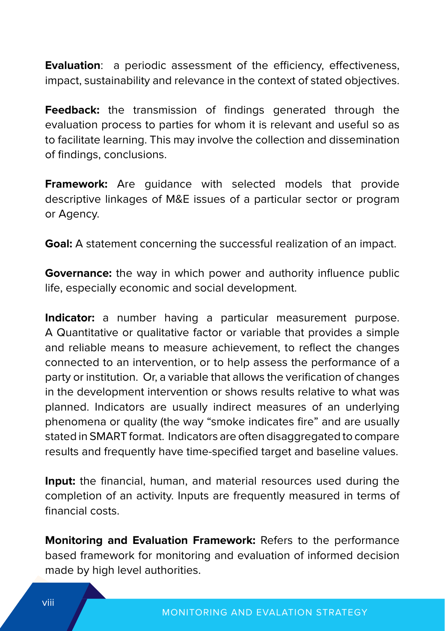**Evaluation**: a periodic assessment of the efficiency, effectiveness, impact, sustainability and relevance in the context of stated objectives.

**Feedback:** the transmission of findings generated through the evaluation process to parties for whom it is relevant and useful so as to facilitate learning. This may involve the collection and dissemination of findings, conclusions.

**Framework:** Are guidance with selected models that provide descriptive linkages of M&E issues of a particular sector or program or Agency.

**Goal:** A statement concerning the successful realization of an impact.

**Governance:** the way in which power and authority influence public life, especially economic and social development.

**Indicator:** a number having a particular measurement purpose. A Quantitative or qualitative factor or variable that provides a simple and reliable means to measure achievement, to reflect the changes connected to an intervention, or to help assess the performance of a party or institution. Or, a variable that allows the verification of changes in the development intervention or shows results relative to what was planned. Indicators are usually indirect measures of an underlying phenomena or quality (the way "smoke indicates fire" and are usually stated in SMART format. Indicators are often disaggregated to compare results and frequently have time-specified target and baseline values.

**Input:** the financial, human, and material resources used during the completion of an activity. Inputs are frequently measured in terms of financial costs.

**Monitoring and Evaluation Framework:** Refers to the performance based framework for monitoring and evaluation of informed decision made by high level authorities.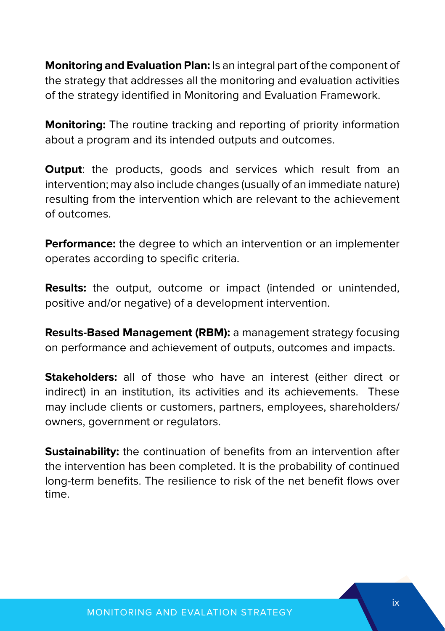**Monitoring and Evaluation Plan:** Is an integral part of the component of the strategy that addresses all the monitoring and evaluation activities of the strategy identified in Monitoring and Evaluation Framework.

**Monitoring:** The routine tracking and reporting of priority information about a program and its intended outputs and outcomes.

**Output:** the products, goods and services which result from an intervention; may also include changes (usually of an immediate nature) resulting from the intervention which are relevant to the achievement of outcomes.

**Performance:** the degree to which an intervention or an implementer operates according to specific criteria.

**Results:** the output, outcome or impact (intended or unintended, positive and/or negative) of a development intervention.

**Results-Based Management (RBM):** a management strategy focusing on performance and achievement of outputs, outcomes and impacts.

**Stakeholders:** all of those who have an interest (either direct or indirect) in an institution, its activities and its achievements. These may include clients or customers, partners, employees, shareholders/ owners, government or regulators.

**Sustainability:** the continuation of benefits from an intervention after the intervention has been completed. It is the probability of continued long-term benefits. The resilience to risk of the net benefit flows over time.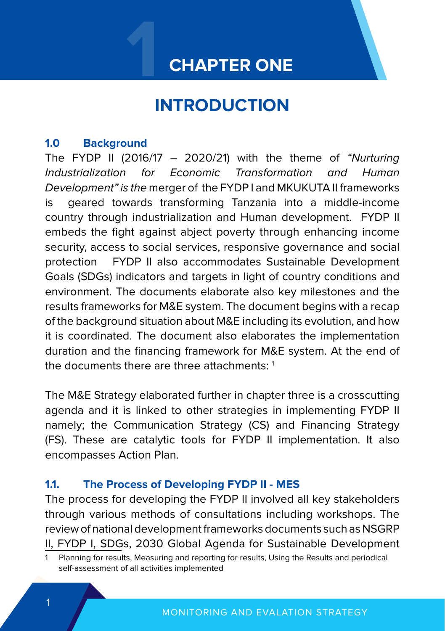## **CHAPTER ONE**

# **1 INTRODUCTION**

#### **1.0 Background**

The FYDP II (2016/17  $-$  2020/21) with the theme of "Nurturing Industrialization for Economic Transformation and Human Development" is the merger of the FYDP I and MKUKUTA II frameworks is geared towards transforming Tanzania into a middle-income country through industrialization and Human development. FYDP II embeds the fight against abject poverty through enhancing income security, access to social services, responsive governance and social protection FYDP II also accommodates Sustainable Development Goals (SDGs) indicators and targets in light of country conditions and environment. The documents elaborate also key milestones and the results frameworks for M&E system. The document begins with a recap of the background situation about M&E including its evolution, and how it is coordinated. The document also elaborates the implementation duration and the financing framework for M&E system. At the end of the documents there are three attachments: 1

The M&E Strategy elaborated further in chapter three is a crosscutting agenda and it is linked to other strategies in implementing FYDP II namely; the Communication Strategy (CS) and Financing Strategy (FS). These are catalytic tools for FYDP II implementation. It also encompasses Action Plan.

#### **1.1. The Process of Developing FYDP II - MES**

The process for developing the FYDP II involved all key stakeholders through various methods of consultations including workshops. The review of national development frameworks documents such as NSGRP II, FYDP I, SDGs, 2030 Global Agenda for Sustainable Development

<sup>1</sup> Planning for results, Measuring and reporting for results, Using the Results and periodical self-assessment of all activities implemented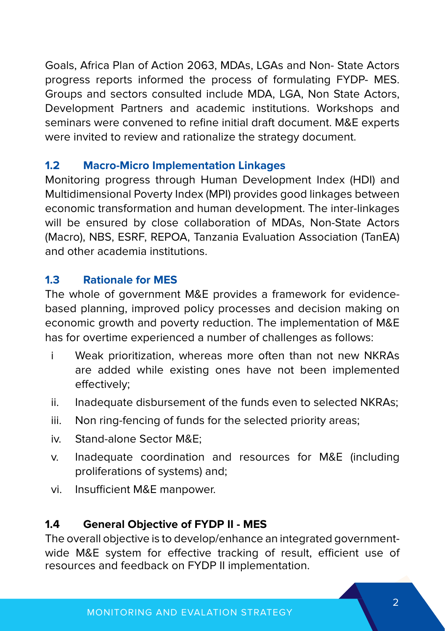Goals, Africa Plan of Action 2063, MDAs, LGAs and Non- State Actors progress reports informed the process of formulating FYDP- MES. Groups and sectors consulted include MDA, LGA, Non State Actors, Development Partners and academic institutions. Workshops and seminars were convened to refine initial draft document. M&E experts were invited to review and rationalize the strategy document.

#### **1.2 Macro-Micro Implementation Linkages**

Monitoring progress through Human Development Index (HDI) and Multidimensional Poverty Index (MPI) provides good linkages between economic transformation and human development. The inter-linkages will be ensured by close collaboration of MDAs, Non-State Actors (Macro), NBS, ESRF, REPOA, Tanzania Evaluation Association (TanEA) and other academia institutions.

#### **1.3 Rationale for MES**

The whole of government M&E provides a framework for evidencebased planning, improved policy processes and decision making on economic growth and poverty reduction. The implementation of M&E has for overtime experienced a number of challenges as follows:

- i Weak prioritization, whereas more often than not new NKRAs are added while existing ones have not been implemented effectively;
- ii. Inadequate disbursement of the funds even to selected NKRAs;
- iii. Non ring-fencing of funds for the selected priority areas;
- iv. Stand-alone Sector M&E;
- v. Inadequate coordination and resources for M&E (including proliferations of systems) and;
- vi. Insufficient M&E manpower.

#### **1.4 General Objective of FYDP II - MES**

The overall objective is to develop/enhance an integrated governmentwide M&E system for effective tracking of result, efficient use of resources and feedback on FYDP II implementation.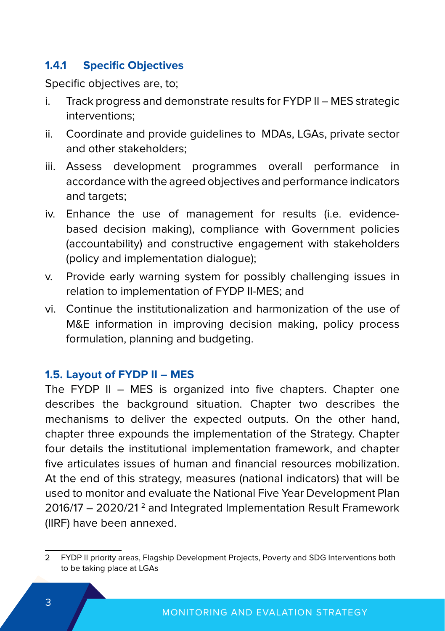#### **1.4.1 Specific Objectives**

Specific objectives are, to;

- i. Track progress and demonstrate results for FYDP II MES strategic interventions;
- ii. Coordinate and provide guidelines to MDAs, LGAs, private sector and other stakeholders;
- iii. Assess development programmes overall performance in accordance with the agreed objectives and performance indicators and targets;
- iv. Enhance the use of management for results (i.e. evidencebased decision making), compliance with Government policies (accountability) and constructive engagement with stakeholders (policy and implementation dialogue);
- v. Provide early warning system for possibly challenging issues in relation to implementation of FYDP II-MES; and
- vi. Continue the institutionalization and harmonization of the use of M&E information in improving decision making, policy process formulation, planning and budgeting.

#### **1.5. Layout of FYDP II – MES**

The FYDP II – MES is organized into five chapters. Chapter one describes the background situation. Chapter two describes the mechanisms to deliver the expected outputs. On the other hand, chapter three expounds the implementation of the Strategy. Chapter four details the institutional implementation framework, and chapter five articulates issues of human and financial resources mobilization. At the end of this strategy, measures (national indicators) that will be used to monitor and evaluate the National Five Year Development Plan 2016/17 - 2020/21<sup>2</sup> and Integrated Implementation Result Framework (IIRF) have been annexed.

<sup>2</sup> FYDP II priority areas, Flagship Development Projects, Poverty and SDG Interventions both to be taking place at LGAs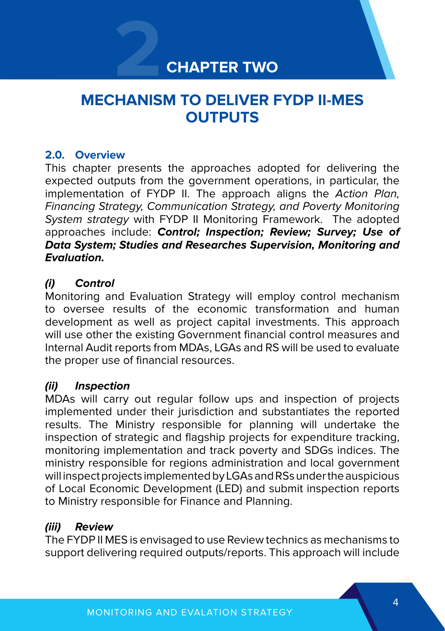## **2 CHAPTER TWO**

## **MECHANISM TO DELIVER FYDP II-MES OUTPUTS**

#### **2.0. Overview**

This chapter presents the approaches adopted for delivering the expected outputs from the government operations, in particular, the implementation of FYDP II. The approach aligns the Action Plan, Financing Strategy, Communication Strategy, and Poverty Monitoring System strategy with FYDP II Monitoring Framework. The adopted approaches include: **Control; Inspection; Review; Survey; Use of Data System; Studies and Researches Supervision, Monitoring and Evaluation.** 

#### **(i) Control**

Monitoring and Evaluation Strategy will employ control mechanism to oversee results of the economic transformation and human development as well as project capital investments. This approach will use other the existing Government financial control measures and Internal Audit reports from MDAs, LGAs and RS will be used to evaluate the proper use of financial resources.

#### **(ii) Inspection**

MDAs will carry out regular follow ups and inspection of projects implemented under their jurisdiction and substantiates the reported results. The Ministry responsible for planning will undertake the inspection of strategic and flagship projects for expenditure tracking, monitoring implementation and track poverty and SDGs indices. The ministry responsible for regions administration and local government will inspect projects implemented by LGAs and RSs under the auspicious of Local Economic Development (LED) and submit inspection reports to Ministry responsible for Finance and Planning.

#### **(iii) Review**

The FYDP II MES is envisaged to use Review technics as mechanisms to support delivering required outputs/reports. This approach will include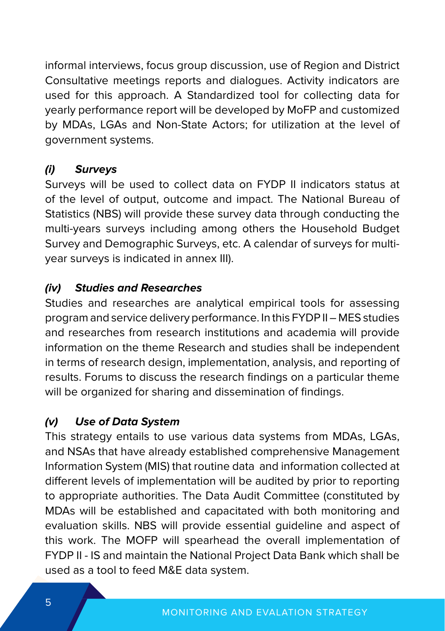informal interviews, focus group discussion, use of Region and District Consultative meetings reports and dialogues. Activity indicators are used for this approach. A Standardized tool for collecting data for yearly performance report will be developed by MoFP and customized by MDAs, LGAs and Non-State Actors; for utilization at the level of government systems.

#### **(i) Surveys**

Surveys will be used to collect data on FYDP II indicators status at of the level of output, outcome and impact. The National Bureau of Statistics (NBS) will provide these survey data through conducting the multi-years surveys including among others the Household Budget Survey and Demographic Surveys, etc. A calendar of surveys for multiyear surveys is indicated in annex III).

#### **(iv) Studies and Researches**

Studies and researches are analytical empirical tools for assessing program and service delivery performance. In this FYDP II – MES studies and researches from research institutions and academia will provide information on the theme Research and studies shall be independent in terms of research design, implementation, analysis, and reporting of results. Forums to discuss the research findings on a particular theme will be organized for sharing and dissemination of findings.

#### **(v) Use of Data System**

This strategy entails to use various data systems from MDAs, LGAs, and NSAs that have already established comprehensive Management Information System (MIS) that routine data and information collected at different levels of implementation will be audited by prior to reporting to appropriate authorities. The Data Audit Committee (constituted by MDAs will be established and capacitated with both monitoring and evaluation skills. NBS will provide essential guideline and aspect of this work. The MOFP will spearhead the overall implementation of FYDP II - IS and maintain the National Project Data Bank which shall be used as a tool to feed M&E data system.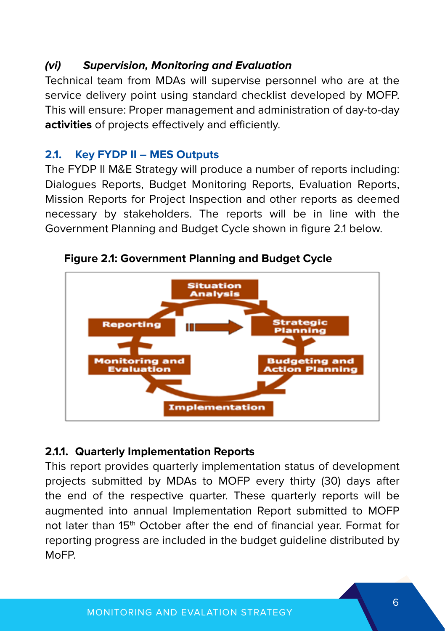#### **(vi) Supervision, Monitoring and Evaluation**

Technical team from MDAs will supervise personnel who are at the service delivery point using standard checklist developed by MOFP. This will ensure: Proper management and administration of day-to-day **activities** of projects effectively and efficiently.

#### **2.1. Key FYDP II – MES Outputs**

The FYDP II M&E Strategy will produce a number of reports including: Dialogues Reports, Budget Monitoring Reports, Evaluation Reports, Mission Reports for Project Inspection and other reports as deemed necessary by stakeholders. The reports will be in line with the Government Planning and Budget Cycle shown in figure 2.1 below.



**Figure 2.1: Government Planning and Budget Cycle**

#### **2.1.1. Quarterly Implementation Reports**

This report provides quarterly implementation status of development projects submitted by MDAs to MOFP every thirty (30) days after the end of the respective quarter. These quarterly reports will be augmented into annual Implementation Report submitted to MOFP not later than 15<sup>th</sup> October after the end of financial year. Format for reporting progress are included in the budget guideline distributed by MoFP.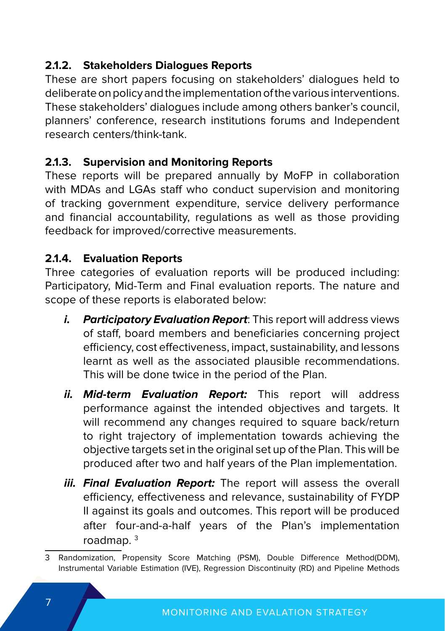#### **2.1.2. Stakeholders Dialogues Reports**

These are short papers focusing on stakeholders' dialogues held to deliberate on policy and the implementation of the various interventions. These stakeholders' dialogues include among others banker's council, planners' conference, research institutions forums and Independent research centers/think-tank.

#### **2.1.3. Supervision and Monitoring Reports**

These reports will be prepared annually by MoFP in collaboration with MDAs and LGAs staff who conduct supervision and monitoring of tracking government expenditure, service delivery performance and financial accountability, regulations as well as those providing feedback for improved/corrective measurements.

#### **2.1.4. Evaluation Reports**

Three categories of evaluation reports will be produced including: Participatory, Mid-Term and Final evaluation reports. The nature and scope of these reports is elaborated below:

- *i.* Participatory Evaluation Report: This report will address views of staff, board members and beneficiaries concerning project efficiency, cost effectiveness, impact, sustainability, and lessons learnt as well as the associated plausible recommendations. This will be done twice in the period of the Plan.
- **ii. Mid-term Evaluation Report:** This report will address performance against the intended objectives and targets. It will recommend any changes required to square back/return to right trajectory of implementation towards achieving the objective targets set in the original set up of the Plan. This will be produced after two and half years of the Plan implementation.
- **iii. Final Evaluation Report:** The report will assess the overall efficiency, effectiveness and relevance, sustainability of FYDP II against its goals and outcomes. This report will be produced after four-and-a-half years of the Plan's implementation roadmap. 3

<sup>3</sup> Randomization, Propensity Score Matching (PSM), Double Difference Method(DDM), Instrumental Variable Estimation (IVE), Regression Discontinuity (RD) and Pipeline Methods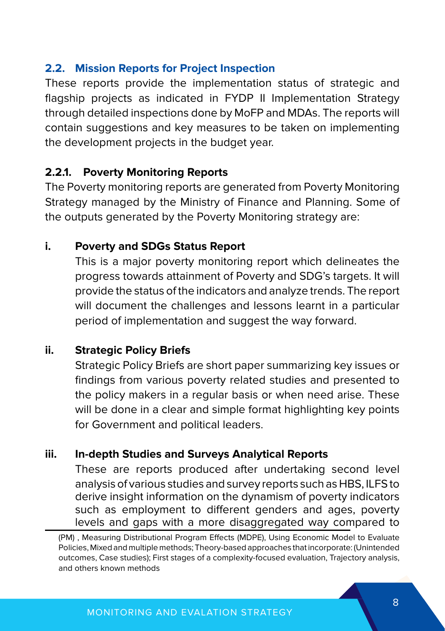#### **2.2. Mission Reports for Project Inspection**

These reports provide the implementation status of strategic and flagship projects as indicated in FYDP II Implementation Strategy through detailed inspections done by MoFP and MDAs. The reports will contain suggestions and key measures to be taken on implementing the development projects in the budget year.

#### **2.2.1. Poverty Monitoring Reports**

The Poverty monitoring reports are generated from Poverty Monitoring Strategy managed by the Ministry of Finance and Planning. Some of the outputs generated by the Poverty Monitoring strategy are:

#### **i. Poverty and SDGs Status Report**

This is a major poverty monitoring report which delineates the progress towards attainment of Poverty and SDG's targets. It will provide the status of the indicators and analyze trends. The report will document the challenges and lessons learnt in a particular period of implementation and suggest the way forward.

#### **ii. Strategic Policy Briefs**

Strategic Policy Briefs are short paper summarizing key issues or findings from various poverty related studies and presented to the policy makers in a regular basis or when need arise. These will be done in a clear and simple format highlighting key points for Government and political leaders.

#### **iii. In-depth Studies and Surveys Analytical Reports**

These are reports produced after undertaking second level analysis of various studies and survey reports such as HBS, ILFS to derive insight information on the dynamism of poverty indicators such as employment to different genders and ages, poverty levels and gaps with a more disaggregated way compared to

<sup>(</sup>PM) , Measuring Distributional Program Effects (MDPE), Using Economic Model to Evaluate Policies, Mixed and multiple methods; Theory-based approaches that incorporate: (Unintended outcomes, Case studies); First stages of a complexity-focused evaluation, Trajectory analysis, and others known methods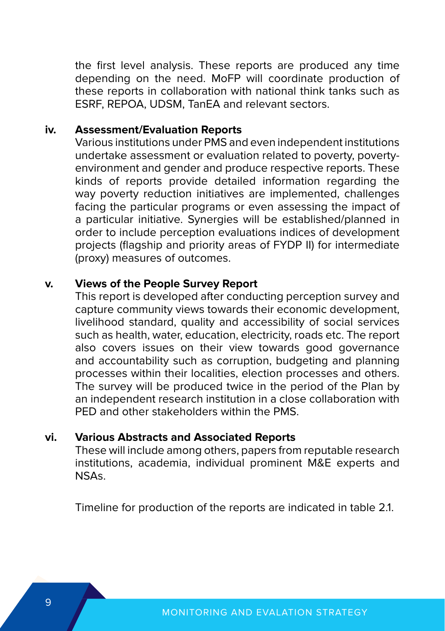the first level analysis. These reports are produced any time depending on the need. MoFP will coordinate production of these reports in collaboration with national think tanks such as ESRF, REPOA, UDSM, TanEA and relevant sectors.

#### **iv. Assessment/Evaluation Reports**

Various institutions under PMS and even independent institutions undertake assessment or evaluation related to poverty, povertyenvironment and gender and produce respective reports. These kinds of reports provide detailed information regarding the way poverty reduction initiatives are implemented, challenges facing the particular programs or even assessing the impact of a particular initiative. Synergies will be established/planned in order to include perception evaluations indices of development projects (flagship and priority areas of FYDP II) for intermediate (proxy) measures of outcomes.

#### **v. Views of the People Survey Report**

This report is developed after conducting perception survey and capture community views towards their economic development, livelihood standard, quality and accessibility of social services such as health, water, education, electricity, roads etc. The report also covers issues on their view towards good governance and accountability such as corruption, budgeting and planning processes within their localities, election processes and others. The survey will be produced twice in the period of the Plan by an independent research institution in a close collaboration with PED and other stakeholders within the PMS.

#### **vi. Various Abstracts and Associated Reports**

These will include among others, papers from reputable research institutions, academia, individual prominent M&E experts and NSAs.

Timeline for production of the reports are indicated in table 2.1.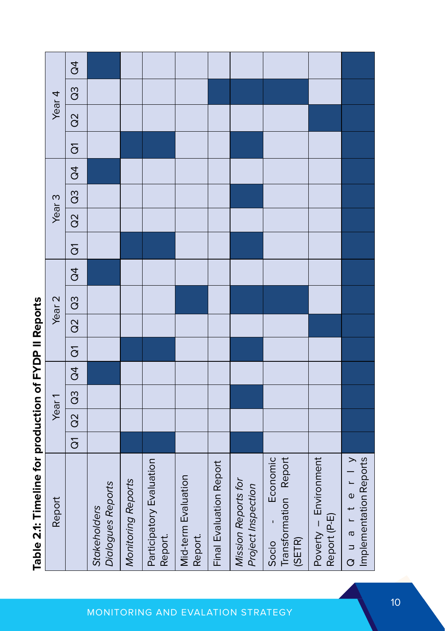| Report                    | Year <sub>1</sub> |               |               |                     |               | Year <sub>2</sub> |   |                         | Year <sub>3</sub>  |               |                |                |               | Year <sub>4</sub> |         |
|---------------------------|-------------------|---------------|---------------|---------------------|---------------|-------------------|---|-------------------------|--------------------|---------------|----------------|----------------|---------------|-------------------|---------|
| $\overline{\overline{G}}$ | $\overline{a}$    | $\frac{3}{3}$ | $\overline{)$ | $\overline{\sigma}$ | $ $ Q2 $ $ Q3 |                   | đ | $\overline{\mathrm{o}}$ | $\frac{1}{\alpha}$ | $\frac{3}{2}$ | $\overline{a}$ | $\overline{c}$ | $\frac{2}{3}$ | $\frac{3}{2}$     | $\beta$ |
|                           |                   |               |               |                     |               |                   |   |                         |                    |               |                |                |               |                   |         |
|                           |                   |               |               |                     |               |                   |   |                         |                    |               |                |                |               |                   |         |
|                           |                   |               |               |                     |               |                   |   |                         |                    |               |                |                |               |                   |         |
|                           |                   |               |               |                     |               |                   |   |                         |                    |               |                |                |               |                   |         |
|                           |                   |               |               |                     |               |                   |   |                         |                    |               |                |                |               |                   |         |
|                           |                   |               |               |                     |               |                   |   |                         |                    |               |                |                |               |                   |         |
|                           |                   |               |               |                     |               |                   |   |                         |                    |               |                |                |               |                   |         |
|                           |                   |               |               |                     |               |                   |   |                         |                    |               |                |                |               |                   |         |
|                           |                   |               |               |                     |               |                   |   |                         |                    |               |                |                |               |                   |         |

Table 2.1: Timeline for production of FYDP II Reports **Table 2.1: Timeline for production of FYDP II Reports**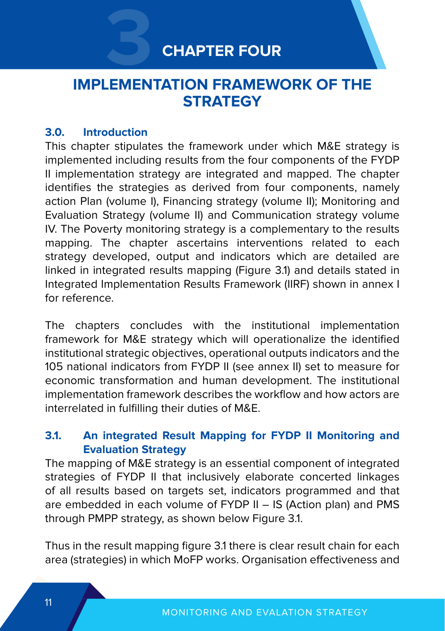## **CHAPTER FOUR**

## **3 IMPI FMENTATION FRAMEWORK OF THE STRATEGY**

#### **3.0. Introduction**

This chapter stipulates the framework under which M&E strategy is implemented including results from the four components of the FYDP II implementation strategy are integrated and mapped. The chapter identifies the strategies as derived from four components, namely action Plan (volume I), Financing strategy (volume II); Monitoring and Evaluation Strategy (volume II) and Communication strategy volume IV. The Poverty monitoring strategy is a complementary to the results mapping. The chapter ascertains interventions related to each strategy developed, output and indicators which are detailed are linked in integrated results mapping (Figure 3.1) and details stated in Integrated Implementation Results Framework (IIRF) shown in annex I for reference.

The chapters concludes with the institutional implementation framework for M&E strategy which will operationalize the identified institutional strategic objectives, operational outputs indicators and the 105 national indicators from FYDP II (see annex II) set to measure for economic transformation and human development. The institutional implementation framework describes the workflow and how actors are interrelated in fulfilling their duties of M&E.

#### **3.1. An integrated Result Mapping for FYDP II Monitoring and Evaluation Strategy**

The mapping of M&E strategy is an essential component of integrated strategies of FYDP II that inclusively elaborate concerted linkages of all results based on targets set, indicators programmed and that are embedded in each volume of FYDP II – IS (Action plan) and PMS through PMPP strategy, as shown below Figure 3.1.

Thus in the result mapping figure 3.1 there is clear result chain for each area (strategies) in which MoFP works. Organisation effectiveness and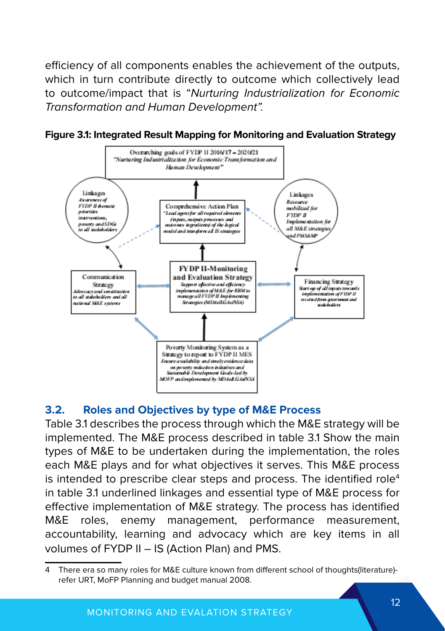efficiency of all components enables the achievement of the outputs, which in turn contribute directly to outcome which collectively lead to outcome/impact that is "Nurturing Industrialization for Economic Transformation and Human Development".





#### **3.2. Roles and Objectives by type of M&E Process**

Table 3.1 describes the process through which the M&E strategy will be implemented. The M&E process described in table 3.1 Show the main types of M&E to be undertaken during the implementation, the roles each M&E plays and for what objectives it serves. This M&E process is intended to prescribe clear steps and process. The identified role<sup>4</sup> in table 3.1 underlined linkages and essential type of M&E process for effective implementation of M&E strategy. The process has identified M&E roles, enemy management, performance measurement, accountability, learning and advocacy which are key items in all volumes of FYDP II – IS (Action Plan) and PMS.

<sup>4</sup> There era so many roles for M&E culture known from different school of thoughts(literature) refer URT, MoFP Planning and budget manual 2008.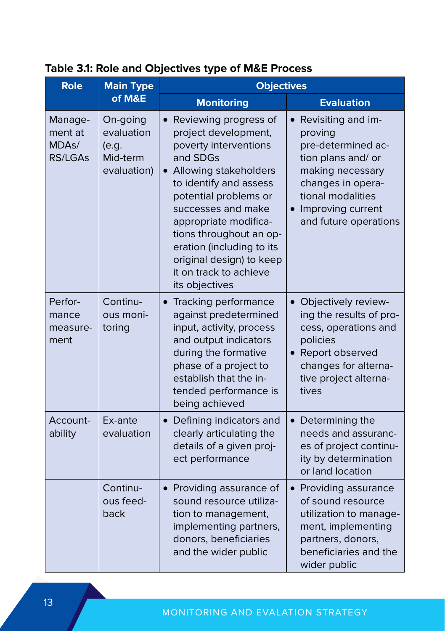| <b>Role</b>                                                | <b>Main Type</b>                                           | <b>Objectives</b>                                                                                                                                                                                                                                                                                                                                            |                                                                                                                                                                                       |
|------------------------------------------------------------|------------------------------------------------------------|--------------------------------------------------------------------------------------------------------------------------------------------------------------------------------------------------------------------------------------------------------------------------------------------------------------------------------------------------------------|---------------------------------------------------------------------------------------------------------------------------------------------------------------------------------------|
|                                                            | of M&E                                                     | <b>Monitoring</b>                                                                                                                                                                                                                                                                                                                                            | <b>Evaluation</b>                                                                                                                                                                     |
| Manage-<br>ment at<br>MDA <sub>S</sub> /<br><b>RS/LGAs</b> | On-going<br>evaluation<br>(e.a.<br>Mid-term<br>evaluation) | Reviewing progress of<br>$\bullet$<br>project development,<br>poverty interventions<br>and SDGs<br>• Allowing stakeholders<br>to identify and assess<br>potential problems or<br>successes and make<br>appropriate modifica-<br>tions throughout an op-<br>eration (including to its<br>original design) to keep<br>it on track to achieve<br>its objectives | Revisiting and im-<br>proving<br>pre-determined ac-<br>tion plans and/ or<br>making necessary<br>changes in opera-<br>tional modalities<br>Improving current<br>and future operations |
| Perfor-<br>mance<br>measure-<br>ment                       | Continu-<br>ous moni-<br>toring                            | Tracking performance<br>$\bullet$<br>against predetermined<br>input, activity, process<br>and output indicators<br>during the formative<br>phase of a project to<br>establish that the in-<br>tended performance is<br>being achieved                                                                                                                        | $\bullet$<br>Objectively review-<br>ing the results of pro-<br>cess, operations and<br>policies<br>Report observed<br>changes for alterna-<br>tive project alterna-<br>tives          |
| Account-<br>ability                                        | Ex-ante<br>evaluation                                      | Defining indicators and<br>clearly articulating the<br>details of a given proj-<br>ect performance                                                                                                                                                                                                                                                           | Determining the<br>$\bullet$<br>needs and assuranc-<br>es of project continu-<br>ity by determination<br>or land location                                                             |
|                                                            | Continu-<br>ous feed-<br>back                              | • Providing assurance of<br>sound resource utiliza-<br>tion to management,<br>implementing partners,<br>donors, beneficiaries<br>and the wider public                                                                                                                                                                                                        | • Providing assurance<br>of sound resource<br>utilization to manage-<br>ment, implementing<br>partners, donors,<br>beneficiaries and the<br>wider public                              |

#### **Table 3.1: Role and Objectives type of M&E Process**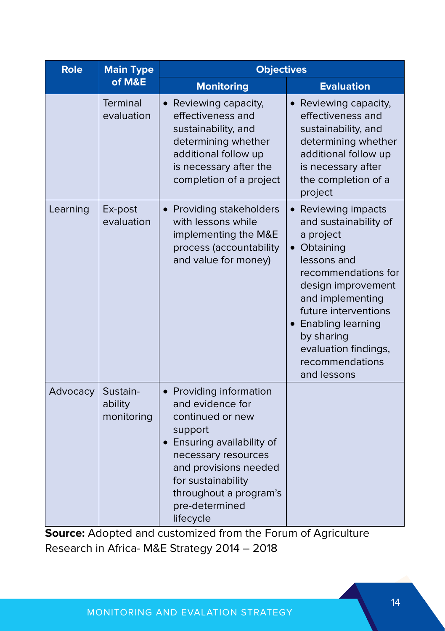| <b>Role</b> | <b>Main Type</b>                  | <b>Objectives</b>                                                                                                                                                                                                                       |                                                                                                                                                                                                                                                                             |
|-------------|-----------------------------------|-----------------------------------------------------------------------------------------------------------------------------------------------------------------------------------------------------------------------------------------|-----------------------------------------------------------------------------------------------------------------------------------------------------------------------------------------------------------------------------------------------------------------------------|
|             | of M&E                            | <b>Monitoring</b>                                                                                                                                                                                                                       | <b>Evaluation</b>                                                                                                                                                                                                                                                           |
|             | <b>Terminal</b><br>evaluation     | • Reviewing capacity,<br>effectiveness and<br>sustainability, and<br>determining whether<br>additional follow up<br>is necessary after the<br>completion of a project                                                                   | Reviewing capacity,<br>effectiveness and<br>sustainability, and<br>determining whether<br>additional follow up<br>is necessary after<br>the completion of a<br>project                                                                                                      |
| Learning    | Ex-post<br>evaluation             | • Providing stakeholders<br>with lessons while<br>implementing the M&E<br>process (accountability<br>and value for money)                                                                                                               | Reviewing impacts<br>and sustainability of<br>a project<br>Obtaining<br>lessons and<br>recommendations for<br>design improvement<br>and implementing<br>future interventions<br>• Enabling learning<br>by sharing<br>evaluation findings,<br>recommendations<br>and lessons |
| Advocacy    | Sustain-<br>ability<br>monitoring | • Providing information<br>and evidence for<br>continued or new<br>support<br>• Ensuring availability of<br>necessary resources<br>and provisions needed<br>for sustainability<br>throughout a program's<br>pre-determined<br>lifecycle |                                                                                                                                                                                                                                                                             |

**Source:** Adopted and customized from the Forum of Agriculture Research in Africa- M&E Strategy 2014 – 2018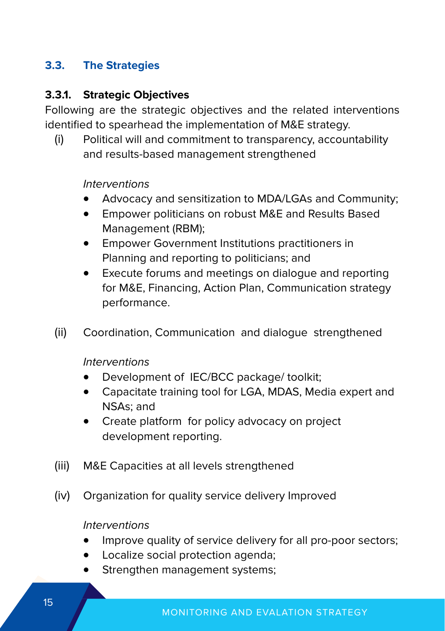#### **3.3. The Strategies**

#### **3.3.1. Strategic Objectives**

Following are the strategic objectives and the related interventions identified to spearhead the implementation of M&E strategy.

(i) Political will and commitment to transparency, accountability and results-based management strengthened

#### Interventions

- Advocacy and sensitization to MDA/LGAs and Community;
- Empower politicians on robust M&E and Results Based Management (RBM);
- Empower Government Institutions practitioners in Planning and reporting to politicians; and
- Execute forums and meetings on dialogue and reporting for M&E, Financing, Action Plan, Communication strategy performance.
- (ii) Coordination, Communication and dialogue strengthened

Interventions

- Development of IEC/BCC package/ toolkit;
- Capacitate training tool for LGA, MDAS, Media expert and NSAs; and
- Create platform for policy advocacy on project development reporting.
- (iii) M&E Capacities at all levels strengthened
- (iv) Organization for quality service delivery Improved

Interventions

- Improve quality of service delivery for all pro-poor sectors;
- Localize social protection agenda;
- Strengthen management systems;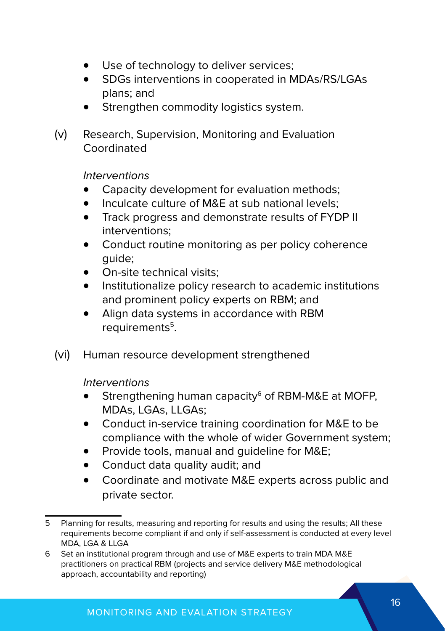- Use of technology to deliver services;
- SDGs interventions in cooperated in MDAs/RS/LGAs plans; and
- Strengthen commodity logistics system.
- (v) Research, Supervision, Monitoring and Evaluation Coordinated

Interventions

- Capacity development for evaluation methods:
- Inculcate culture of M&E at sub national levels;
- • Track progress and demonstrate results of FYDP II interventions;
- Conduct routine monitoring as per policy coherence guide;
- On-site technical visits:
- • Institutionalize policy research to academic institutions and prominent policy experts on RBM; and
- Align data systems in accordance with RBM requirements<sup>5</sup>.
- (vi) Human resource development strengthened

Interventions

- Strengthening human capacity $6$  of RBM-M&E at MOFP. MDAs, LGAs, LLGAs;
- Conduct in-service training coordination for M&E to be compliance with the whole of wider Government system;
- Provide tools, manual and quideline for M&E;
- Conduct data quality audit; and
- Coordinate and motivate M&E experts across public and private sector.

<sup>5</sup> Planning for results, measuring and reporting for results and using the results; All these requirements become compliant if and only if self-assessment is conducted at every level MDA, LGA & LLGA

<sup>6</sup> Set an institutional program through and use of M&E experts to train MDA M&E practitioners on practical RBM (projects and service delivery M&E methodological approach, accountability and reporting)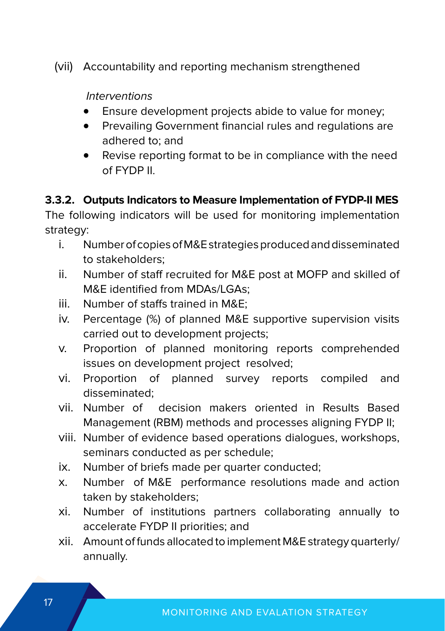(vii) Accountability and reporting mechanism strengthened

Interventions

- Ensure development projects abide to value for money;
- Prevailing Government financial rules and regulations are adhered to; and
- Revise reporting format to be in compliance with the need of FYDP II.

#### **3.3.2. Outputs Indicators to Measure Implementation of FYDP-II MES**

The following indicators will be used for monitoring implementation strategy:

- i. Number of copies of M&E strategies produced and disseminated to stakeholders;
- ii. Number of staff recruited for M&E post at MOFP and skilled of M&E identified from MDAs/LGAs;
- iii. Number of staffs trained in M&E;
- iv. Percentage (%) of planned M&E supportive supervision visits carried out to development projects;
- v. Proportion of planned monitoring reports comprehended issues on development project resolved;
- vi. Proportion of planned survey reports compiled and disseminated;
- vii. Number of decision makers oriented in Results Based Management (RBM) methods and processes aligning FYDP II;
- viii. Number of evidence based operations dialogues, workshops, seminars conducted as per schedule;
- ix. Number of briefs made per quarter conducted;
- x. Number of M&E performance resolutions made and action taken by stakeholders;
- xi. Number of institutions partners collaborating annually to accelerate FYDP II priorities; and
- xii. Amount of funds allocated to implement M&E strategy quarterly/ annually.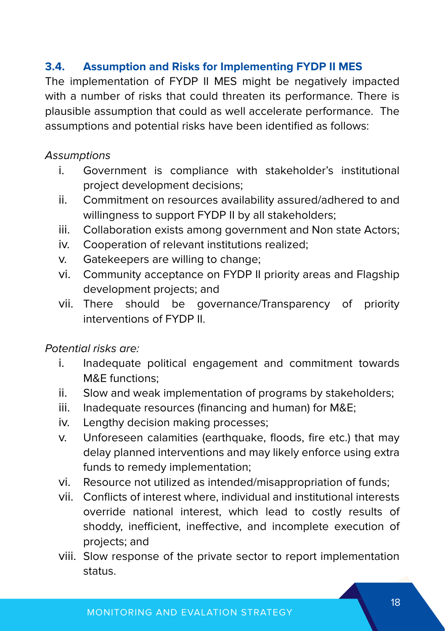#### **3.4. Assumption and Risks for Implementing FYDP II MES**

The implementation of FYDP II MES might be negatively impacted with a number of risks that could threaten its performance. There is plausible assumption that could as well accelerate performance. The assumptions and potential risks have been identified as follows:

#### **Assumptions**

- i. Government is compliance with stakeholder's institutional project development decisions;
- ii. Commitment on resources availability assured/adhered to and willingness to support FYDP II by all stakeholders;
- iii. Collaboration exists among government and Non state Actors;
- iv. Cooperation of relevant institutions realized;
- v. Gatekeepers are willing to change;
- vi. Community acceptance on FYDP II priority areas and Flagship development projects; and
- vii. There should be governance/Transparency of priority interventions of FYDP II.

#### Potential risks are:

- i. Inadequate political engagement and commitment towards M&E functions;
- ii. Slow and weak implementation of programs by stakeholders;
- iii. Inadequate resources (financing and human) for M&E;
- iv. Lengthy decision making processes;
- v. Unforeseen calamities (earthquake, floods, fire etc.) that may delay planned interventions and may likely enforce using extra funds to remedy implementation;
- vi. Resource not utilized as intended/misappropriation of funds;
- vii. Conflicts of interest where, individual and institutional interests override national interest, which lead to costly results of shoddy, inefficient, ineffective, and incomplete execution of projects; and
- viii. Slow response of the private sector to report implementation status.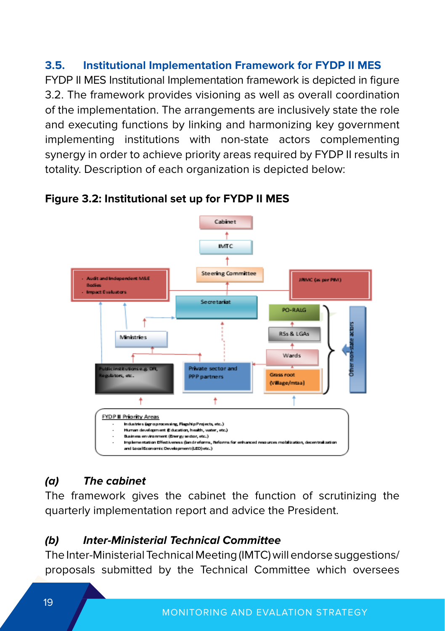#### **3.5. Institutional Implementation Framework for FYDP II MES**

FYDP II MES Institutional Implementation framework is depicted in figure 3.2. The framework provides visioning as well as overall coordination of the implementation. The arrangements are inclusively state the role and executing functions by linking and harmonizing key government implementing institutions with non-state actors complementing synergy in order to achieve priority areas required by FYDP II results in totality. Description of each organization is depicted below:



#### **Figure 3.2: Institutional set up for FYDP II MES**

#### **(a) The cabinet**

The framework gives the cabinet the function of scrutinizing the quarterly implementation report and advice the President.

#### **(b) Inter-Ministerial Technical Committee**

The Inter-Ministerial Technical Meeting (IMTC) will endorse suggestions/ proposals submitted by the Technical Committee which oversees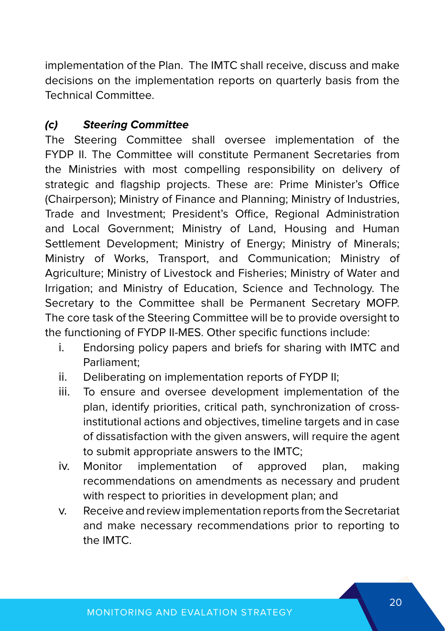implementation of the Plan. The IMTC shall receive, discuss and make decisions on the implementation reports on quarterly basis from the Technical Committee.

#### **(c) Steering Committee**

The Steering Committee shall oversee implementation of the FYDP II. The Committee will constitute Permanent Secretaries from the Ministries with most compelling responsibility on delivery of strategic and flagship projects. These are: Prime Minister's Office (Chairperson); Ministry of Finance and Planning; Ministry of Industries, Trade and Investment; President's Office, Regional Administration and Local Government; Ministry of Land, Housing and Human Settlement Development: Ministry of Energy: Ministry of Minerals: Ministry of Works, Transport, and Communication; Ministry of Agriculture; Ministry of Livestock and Fisheries; Ministry of Water and Irrigation; and Ministry of Education, Science and Technology. The Secretary to the Committee shall be Permanent Secretary MOFP. The core task of the Steering Committee will be to provide oversight to the functioning of FYDP II-MES. Other specific functions include:

- i. Endorsing policy papers and briefs for sharing with IMTC and Parliament;
- ii. Deliberating on implementation reports of FYDP II;
- iii. To ensure and oversee development implementation of the plan, identify priorities, critical path, synchronization of crossinstitutional actions and objectives, timeline targets and in case of dissatisfaction with the given answers, will require the agent to submit appropriate answers to the IMTC;
- iv. Monitor implementation of approved plan, making recommendations on amendments as necessary and prudent with respect to priorities in development plan; and
- v. Receive and review implementation reports from the Secretariat and make necessary recommendations prior to reporting to the IMTC.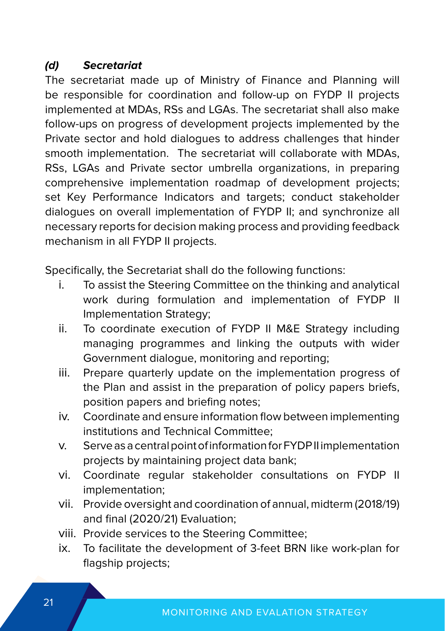#### **(d) Secretariat**

The secretariat made up of Ministry of Finance and Planning will be responsible for coordination and follow-up on FYDP II projects implemented at MDAs, RSs and LGAs. The secretariat shall also make follow-ups on progress of development projects implemented by the Private sector and hold dialogues to address challenges that hinder smooth implementation. The secretariat will collaborate with MDAs, RSs, LGAs and Private sector umbrella organizations, in preparing comprehensive implementation roadmap of development projects; set Key Performance Indicators and targets; conduct stakeholder dialogues on overall implementation of FYDP II; and synchronize all necessary reports for decision making process and providing feedback mechanism in all FYDP II projects.

Specifically, the Secretariat shall do the following functions:

- i. To assist the Steering Committee on the thinking and analytical work during formulation and implementation of FYDP II Implementation Strategy;
- ii. To coordinate execution of FYDP II M&E Strategy including managing programmes and linking the outputs with wider Government dialogue, monitoring and reporting;
- iii. Prepare quarterly update on the implementation progress of the Plan and assist in the preparation of policy papers briefs, position papers and briefing notes;
- iv. Coordinate and ensure information flow between implementing institutions and Technical Committee;
- v. Serve as a central point of information for FYDP II implementation projects by maintaining project data bank;
- vi. Coordinate regular stakeholder consultations on FYDP II implementation;
- vii. Provide oversight and coordination of annual, midterm (2018/19) and final (2020/21) Evaluation;
- viii. Provide services to the Steering Committee;
- ix. To facilitate the development of 3-feet BRN like work-plan for flagship projects;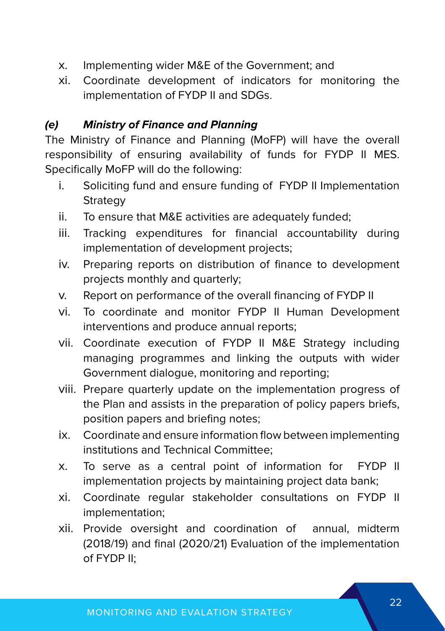- x. Implementing wider M&E of the Government; and
- xi. Coordinate development of indicators for monitoring the implementation of FYDP II and SDGs.

#### **(e) Ministry of Finance and Planning**

The Ministry of Finance and Planning (MoFP) will have the overall responsibility of ensuring availability of funds for FYDP II MES. Specifically MoFP will do the following:

- i. Soliciting fund and ensure funding of FYDP II Implementation **Strategy**
- ii. To ensure that M&E activities are adequately funded;
- iii. Tracking expenditures for financial accountability during implementation of development projects;
- iv. Preparing reports on distribution of finance to development projects monthly and quarterly;
- v. Report on performance of the overall financing of FYDP II
- vi. To coordinate and monitor FYDP II Human Development interventions and produce annual reports;
- vii. Coordinate execution of FYDP II M&E Strategy including managing programmes and linking the outputs with wider Government dialogue, monitoring and reporting;
- viii. Prepare quarterly update on the implementation progress of the Plan and assists in the preparation of policy papers briefs, position papers and briefing notes;
- ix. Coordinate and ensure information flow between implementing institutions and Technical Committee;
- x. To serve as a central point of information for FYDP II implementation projects by maintaining project data bank;
- xi. Coordinate regular stakeholder consultations on FYDP II implementation;
- xii. Provide oversight and coordination of annual, midterm (2018/19) and final (2020/21) Evaluation of the implementation of FYDP II;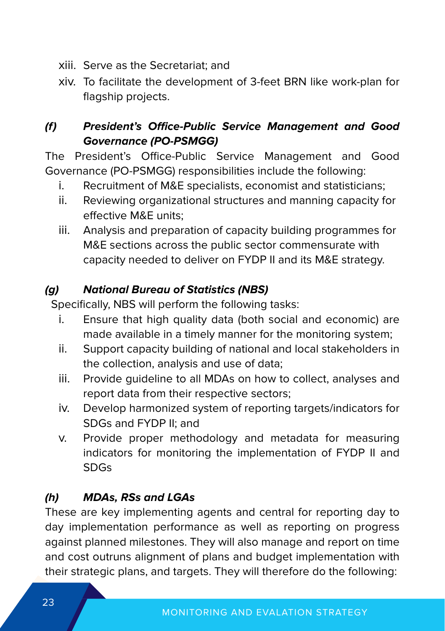- xiii. Serve as the Secretariat; and
- xiv. To facilitate the development of 3-feet BRN like work-plan for flagship projects.

#### **(f) President's Office-Public Service Management and Good Governance (PO-PSMGG)**

The President's Office-Public Service Management and Good Governance (PO-PSMGG) responsibilities include the following:

- i. Recruitment of M&E specialists, economist and statisticians;
- ii. Reviewing organizational structures and manning capacity for effective M&E units;
- iii. Analysis and preparation of capacity building programmes for M&E sections across the public sector commensurate with capacity needed to deliver on FYDP II and its M&E strategy.

#### **(g) National Bureau of Statistics (NBS)**

Specifically, NBS will perform the following tasks:

- i. Ensure that high quality data (both social and economic) are made available in a timely manner for the monitoring system;
- ii. Support capacity building of national and local stakeholders in the collection, analysis and use of data;
- iii. Provide guideline to all MDAs on how to collect, analyses and report data from their respective sectors;
- iv. Develop harmonized system of reporting targets/indicators for SDGs and FYDP II; and
- v. Provide proper methodology and metadata for measuring indicators for monitoring the implementation of FYDP II and SDGs

#### **(h) MDAs, RSs and LGAs**

These are key implementing agents and central for reporting day to day implementation performance as well as reporting on progress against planned milestones. They will also manage and report on time and cost outruns alignment of plans and budget implementation with their strategic plans, and targets. They will therefore do the following: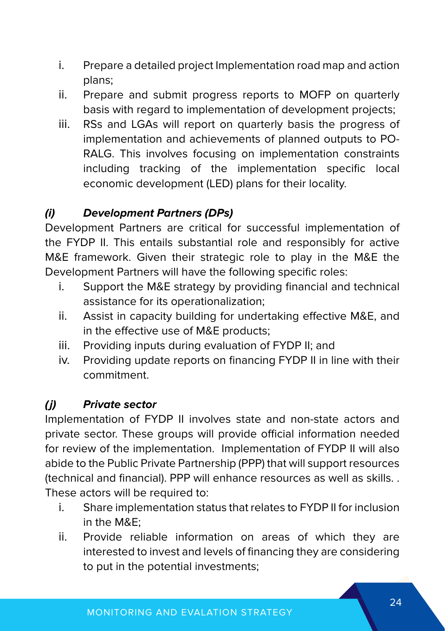- i. Prepare a detailed project Implementation road map and action plans;
- ii. Prepare and submit progress reports to MOFP on quarterly basis with regard to implementation of development projects;
- iii. RSs and LGAs will report on quarterly basis the progress of implementation and achievements of planned outputs to PO-RALG. This involves focusing on implementation constraints including tracking of the implementation specific local economic development (LED) plans for their locality.

#### **(i) Development Partners (DPs)**

Development Partners are critical for successful implementation of the FYDP II. This entails substantial role and responsibly for active M&E framework. Given their strategic role to play in the M&E the Development Partners will have the following specific roles:

- i. Support the M&E strategy by providing financial and technical assistance for its operationalization;
- ii. Assist in capacity building for undertaking effective M&E, and in the effective use of M&E products;
- iii. Providing inputs during evaluation of FYDP II; and
- iv. Providing update reports on financing FYDP II in line with their commitment.

#### **(j) Private sector**

Implementation of FYDP II involves state and non-state actors and private sector. These groups will provide official information needed for review of the implementation. Implementation of FYDP II will also abide to the Public Private Partnership (PPP) that will support resources (technical and financial). PPP will enhance resources as well as skills. . These actors will be required to:

- i. Share implementation status that relates to FYDP II for inclusion in the M&E;
- ii. Provide reliable information on areas of which they are interested to invest and levels of financing they are considering to put in the potential investments;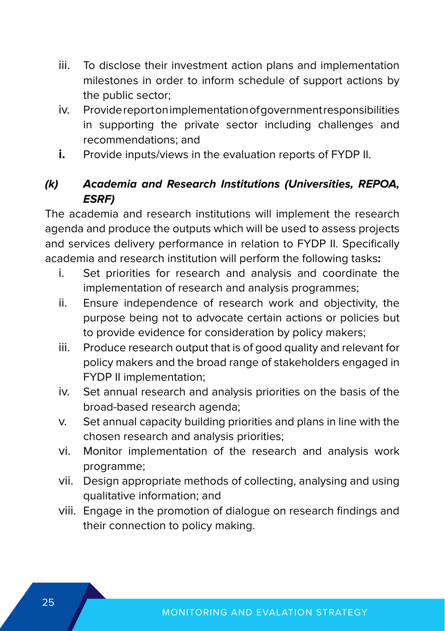- iii. To disclose their investment action plans and implementation milestones in order to inform schedule of support actions by the public sector;
- iv. Provide report on implementation of government responsibilities in supporting the private sector including challenges and recommendations; and
- **i.** Provide inputs/views in the evaluation reports of FYDP II.

#### **(k) Academia and Research Institutions (Universities, REPOA, ESRF)**

The academia and research institutions will implement the research agenda and produce the outputs which will be used to assess projects and services delivery performance in relation to FYDP II. Specifically academia and research institution will perform the following tasks**:**

- i. Set priorities for research and analysis and coordinate the implementation of research and analysis programmes;
- ii. Ensure independence of research work and objectivity, the purpose being not to advocate certain actions or policies but to provide evidence for consideration by policy makers;
- iii. Produce research output that is of good quality and relevant for policy makers and the broad range of stakeholders engaged in FYDP II implementation;
- iv. Set annual research and analysis priorities on the basis of the broad-based research agenda;
- v. Set annual capacity building priorities and plans in line with the chosen research and analysis priorities;
- vi. Monitor implementation of the research and analysis work programme;
- vii. Design appropriate methods of collecting, analysing and using qualitative information; and
- viii. Engage in the promotion of dialogue on research findings and their connection to policy making.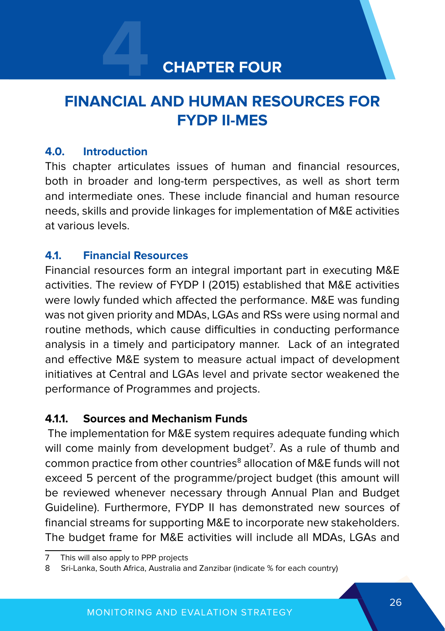## **4 CHAPTER FOUR**

## **FINANCIAL AND HUMAN RESOURCES FOR FYDP II-MES**

#### **4.0. Introduction**

This chapter articulates issues of human and financial resources, both in broader and long-term perspectives, as well as short term and intermediate ones. These include financial and human resource needs, skills and provide linkages for implementation of M&E activities at various levels.

#### **4.1. Financial Resources**

Financial resources form an integral important part in executing M&E activities. The review of FYDP I (2015) established that M&E activities were lowly funded which affected the performance. M&E was funding was not given priority and MDAs, LGAs and RSs were using normal and routine methods, which cause difficulties in conducting performance analysis in a timely and participatory manner. Lack of an integrated and effective M&E system to measure actual impact of development initiatives at Central and LGAs level and private sector weakened the performance of Programmes and projects.

#### **4.1.1. Sources and Mechanism Funds**

 The implementation for M&E system requires adequate funding which will come mainly from development budget<sup>7</sup>. As a rule of thumb and common practice from other countries<sup>8</sup> allocation of M&E funds will not exceed 5 percent of the programme/project budget (this amount will be reviewed whenever necessary through Annual Plan and Budget Guideline). Furthermore, FYDP II has demonstrated new sources of financial streams for supporting M&E to incorporate new stakeholders. The budget frame for M&E activities will include all MDAs, LGAs and

<sup>7</sup> This will also apply to PPP projects

<sup>8</sup> Sri-Lanka, South Africa, Australia and Zanzibar (indicate % for each country)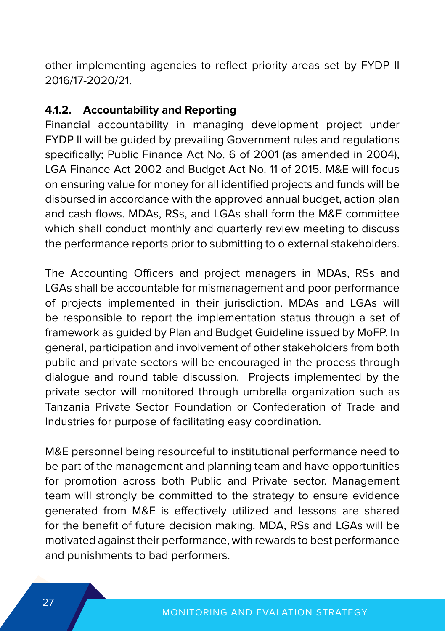other implementing agencies to reflect priority areas set by FYDP II 2016/17-2020/21.

#### **4.1.2. Accountability and Reporting**

Financial accountability in managing development project under FYDP II will be guided by prevailing Government rules and regulations specifically; Public Finance Act No. 6 of 2001 (as amended in 2004), LGA Finance Act 2002 and Budget Act No. 11 of 2015. M&E will focus on ensuring value for money for all identified projects and funds will be disbursed in accordance with the approved annual budget, action plan and cash flows. MDAs, RSs, and LGAs shall form the M&E committee which shall conduct monthly and quarterly review meeting to discuss the performance reports prior to submitting to o external stakeholders.

The Accounting Officers and project managers in MDAs, RSs and LGAs shall be accountable for mismanagement and poor performance of projects implemented in their jurisdiction. MDAs and LGAs will be responsible to report the implementation status through a set of framework as guided by Plan and Budget Guideline issued by MoFP. In general, participation and involvement of other stakeholders from both public and private sectors will be encouraged in the process through dialogue and round table discussion. Projects implemented by the private sector will monitored through umbrella organization such as Tanzania Private Sector Foundation or Confederation of Trade and Industries for purpose of facilitating easy coordination.

M&E personnel being resourceful to institutional performance need to be part of the management and planning team and have opportunities for promotion across both Public and Private sector. Management team will strongly be committed to the strategy to ensure evidence generated from M&E is effectively utilized and lessons are shared for the benefit of future decision making. MDA, RSs and LGAs will be motivated against their performance, with rewards to best performance and punishments to bad performers.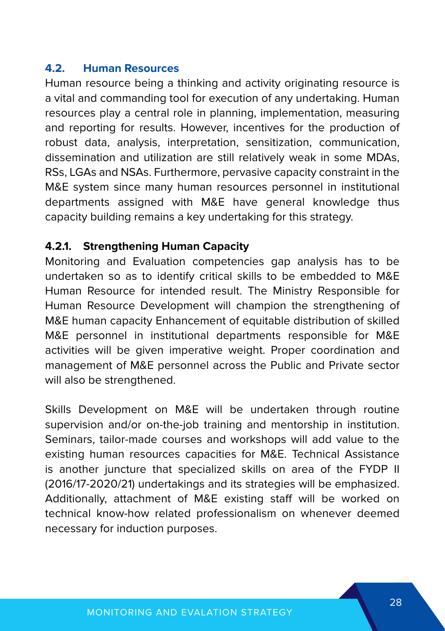#### **4.2. Human Resources**

Human resource being a thinking and activity originating resource is a vital and commanding tool for execution of any undertaking. Human resources play a central role in planning, implementation, measuring and reporting for results. However, incentives for the production of robust data, analysis, interpretation, sensitization, communication, dissemination and utilization are still relatively weak in some MDAs, RSs, LGAs and NSAs. Furthermore, pervasive capacity constraint in the M&E system since many human resources personnel in institutional departments assigned with M&E have general knowledge thus capacity building remains a key undertaking for this strategy.

#### **4.2.1. Strengthening Human Capacity**

Monitoring and Evaluation competencies gap analysis has to be undertaken so as to identify critical skills to be embedded to M&E Human Resource for intended result. The Ministry Responsible for Human Resource Development will champion the strengthening of M&E human capacity Enhancement of equitable distribution of skilled M&E personnel in institutional departments responsible for M&E activities will be given imperative weight. Proper coordination and management of M&E personnel across the Public and Private sector will also be strengthened.

Skills Development on M&E will be undertaken through routine supervision and/or on-the-job training and mentorship in institution. Seminars, tailor-made courses and workshops will add value to the existing human resources capacities for M&E. Technical Assistance is another juncture that specialized skills on area of the FYDP II (2016/17-2020/21) undertakings and its strategies will be emphasized. Additionally, attachment of M&E existing staff will be worked on technical know-how related professionalism on whenever deemed necessary for induction purposes.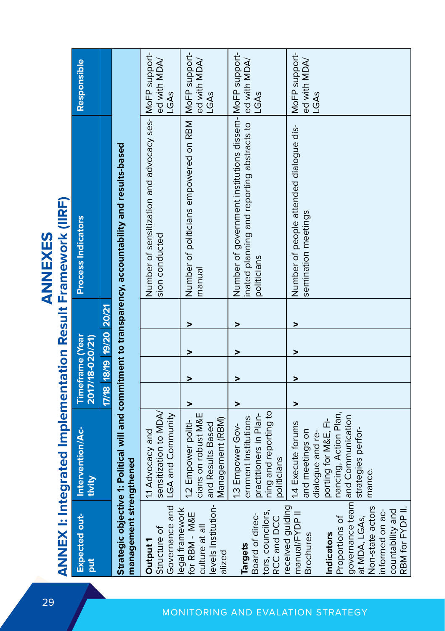|                                                                                                                                                                                                          |                                                                                                                                                                 |                                           |   |   | <b>ANNEX I: Integrated Implementation Result Framework (IIRF)</b><br><b>ANNEXES</b>                                              |                                       |
|----------------------------------------------------------------------------------------------------------------------------------------------------------------------------------------------------------|-----------------------------------------------------------------------------------------------------------------------------------------------------------------|-------------------------------------------|---|---|----------------------------------------------------------------------------------------------------------------------------------|---------------------------------------|
| Expected out-<br><b>Jut</b>                                                                                                                                                                              | Intervention/Ac-<br>tivity                                                                                                                                      | <b>Timeframe (Year</b><br>2017/18-020/21) |   |   | <b>Process Indicators</b>                                                                                                        | Responsible                           |
|                                                                                                                                                                                                          |                                                                                                                                                                 | 17/18 18/19 19/20 20/21                   |   |   |                                                                                                                                  |                                       |
| management strengthened                                                                                                                                                                                  |                                                                                                                                                                 |                                           |   |   | Strategic objective 1: Political will and commitment to transparency, accountability and results-based                           |                                       |
| Governance and<br>Structure of<br>Output 1                                                                                                                                                               | sensitization to MDA/<br>LGA and Community<br>11 Advocacy and                                                                                                   |                                           |   |   | Number of sensitization and advocacy ses- MoFP support-<br>sion conducted                                                        | ed with MDA/<br>LGAS                  |
| levels Institution-<br>legal framework<br>for RBM - M&E<br>culture at all<br>alized                                                                                                                      | cians on robust M&E<br>Management (RBM)<br>1.2 Empower politi-<br>and Results Based                                                                             | >                                         | > | > | Number of politicians empowered on RBM  MoFP support-<br>manual                                                                  | ed with MDA/<br>LGAS                  |
| tors, councilors,<br>Board of direc-<br>RCC and DCC<br><b>Targets</b>                                                                                                                                    | ning and reporting to<br>practitioners in Plan-<br>ernment Institutions<br>1.3 Empower Gov-<br>politicians                                                      | >                                         | > | > | Number of government institutions dissem- MoFP support-<br>nated planning and reporting abstracts to ed with MDA/<br>politicians | <b>GAs</b>                            |
| governance team<br>Non-state actors<br>received guiding<br>countability and<br>RBM for FYDP II<br>informed on ac-<br>manual/FYDP II<br>at MDA, LGAs,<br>Proportions of<br>Indicators<br><b>Brochures</b> | nancing, Action Plan,<br>and Communication<br>porting for M&E, Fi-<br>1.4 Execute forums<br>strategies perfor-<br>and meetings on<br>dialogue and re-<br>mance. | >                                         | > |   | Number of people attended dialogue dis-<br>semination meetings                                                                   | MoFP support-<br>ed with MDA/<br>LGAS |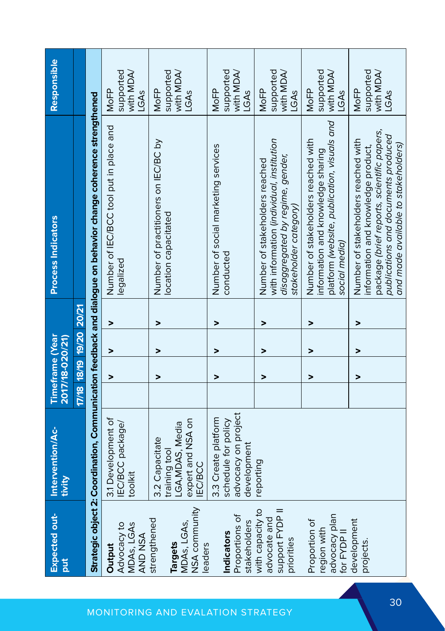| Expected out-<br><b>Jurq</b>                                             | Intervention/Ac-<br>tivity                                                                 | <b>Timeframe</b> (Year<br>2017/18-020/21) |                         |                          | Process Indicators                                                                                                                                                                                    | Responsible                                   |
|--------------------------------------------------------------------------|--------------------------------------------------------------------------------------------|-------------------------------------------|-------------------------|--------------------------|-------------------------------------------------------------------------------------------------------------------------------------------------------------------------------------------------------|-----------------------------------------------|
|                                                                          |                                                                                            |                                           | 17/18 18/19 19/20 20/21 |                          |                                                                                                                                                                                                       |                                               |
|                                                                          |                                                                                            |                                           |                         |                          | Strategic object 2: Coordination, Communication feedback and dialogue on behavior change coherence strengthened                                                                                       |                                               |
| Advocacy to<br>MDAs, LGAs<br>AND NSA<br>Output                           | 3.1 Development of<br>IEC/BCC package/<br>toolkit                                          | >                                         | >                       | >                        | Number of IEC/BCC tool put in place and<br>egalized                                                                                                                                                   | supported<br>with MDA/<br>MoFP<br>LGAS        |
| NSA community<br>strengthened<br>MDAs, LGAs,<br><b>Targets</b><br>eaders | expert and NSA on<br>LGA, MDAS, Media<br>3.2 Capacitate<br>training tool<br><b>IEC/BCC</b> | >                                         | $\overline{ }$          | $\overline{\phantom{0}}$ | Number of practitioners on IEC/BC by<br>location capacitated                                                                                                                                          | supported<br>with MDA/<br>MoFP<br>LGAS        |
| Proportions of<br>stakeholders<br>Indicators                             | advocacy on project<br>3.3 Create platform<br>schedule for policy<br>development           | >                                         | >                       | $\overline{ }$           | Number of social marketing services<br>conducted                                                                                                                                                      | supported<br>with MDA/<br>MoFP<br>LGAS        |
| with capacity to<br>support FYDP II<br>advocate and<br>priorities        | reporting                                                                                  | >                                         | >                       | >                        | with information (individual, institution<br>disaggregated by regime, gender,<br>Number of stakeholders reached<br>stakeholder category)                                                              | supported<br>with MDA/<br><b>MoFP</b><br>LGAS |
| advocacy plan<br>Proportion of<br>region with<br>for FYDP II             |                                                                                            | >                                         | >                       | $\overline{ }$           | platform (website, publication, visuals and<br>Number of stakeholders reached with<br>information and knowledge sharing<br>social media)                                                              | supported<br>with MDA/<br>NoFP<br>LGAS        |
| development<br>projects                                                  |                                                                                            | >                                         | >                       | $\overline{ }$           | package (brief reports, scientific papers,<br>publications and documents produced<br>Number of stakeholders reached with<br>and made available to stakeholders)<br>information and knowledge product, | supported<br>with MDA/<br>MoFP<br>LGAS        |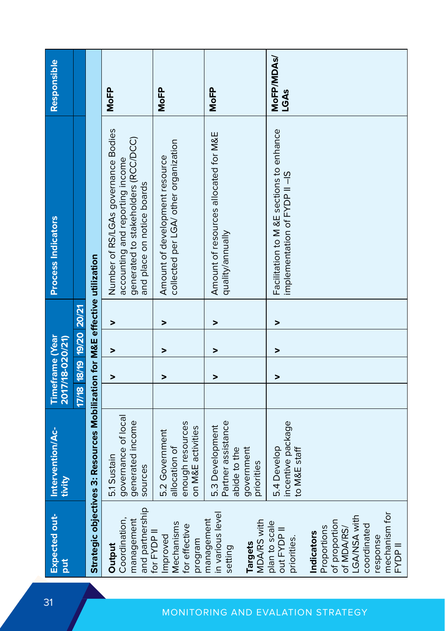| Expected out-<br>put                                                                                                            | Intervention/Ac-<br>tivity                                                        | <b>Timeframe</b> (Year  | 2017/18-020/21) |   |   | <b>Process Indicators</b>                                                                                                                   | Responsible        |
|---------------------------------------------------------------------------------------------------------------------------------|-----------------------------------------------------------------------------------|-------------------------|-----------------|---|---|---------------------------------------------------------------------------------------------------------------------------------------------|--------------------|
|                                                                                                                                 |                                                                                   | 17/18 18/19 19/20 20/21 |                 |   |   |                                                                                                                                             |                    |
|                                                                                                                                 | Strategic objectives 3: Resources Mobilization for M&E effective utilization      |                         |                 |   |   |                                                                                                                                             |                    |
| and partnership<br>Coordination,<br>management<br>Output                                                                        | governance of local<br>generated income<br>5.1 Sustain<br>sources                 |                         | >               | > | > | Number of RS/LGAs governance Bodies<br>generated to stakeholders (RCC/DCC)<br>accounting and reporting income<br>and place on notice boards | <b>MoFP</b>        |
| Mechanisms<br>for effective<br>for FYDP II<br>Improved<br>program                                                               | enough resources<br>on M&E activities<br>5.2 Government<br>allocation of          |                         | >               | > | > | collected per LGA/ other organization<br>Amount of development resource                                                                     | <b>MoFP</b>        |
| in various level<br>management<br><b>MDA/RS with</b><br><b>Targets</b><br>setting                                               | Partner assistance<br>5.3 Development<br>abide to the<br>government<br>priorities |                         | >               | > | > | Amount of resources allocated for M&E<br>quality/annually                                                                                   | <b>MoFP</b>        |
| plan to scale<br>out FYDP II<br>priorities.                                                                                     | incentive package<br>5.4 Develop<br>to M&E staff                                  |                         | >               | > | > | Facilitation to M &E sections to enhance<br>implementation of FYDP II-IS                                                                    | MoFP/MDAs/<br>LGAS |
| mechanism for<br>LGA/NSA with<br>of proportion<br>coordinated<br>Proportions<br>of MDA/RS/<br>Indicators<br>response<br>FYDP II |                                                                                   |                         |                 |   |   |                                                                                                                                             |                    |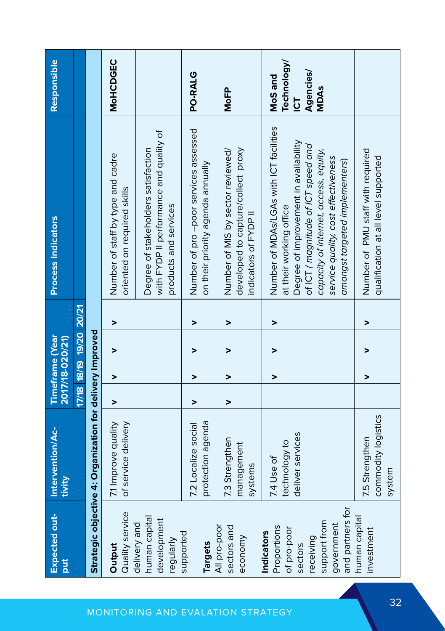| Expected out-<br><b>Juc</b>                                                                                               | Intervention/Ac-<br>tivity                                | <b>Timeframe (Year</b><br>2017/18-020/21) |   |   |   | <b>Process Indicators</b>                                                                                                                                                                                                                                           | Responsible                                                    |
|---------------------------------------------------------------------------------------------------------------------------|-----------------------------------------------------------|-------------------------------------------|---|---|---|---------------------------------------------------------------------------------------------------------------------------------------------------------------------------------------------------------------------------------------------------------------------|----------------------------------------------------------------|
|                                                                                                                           |                                                           | 17/18 18/19 19/20 20/21                   |   |   |   |                                                                                                                                                                                                                                                                     |                                                                |
|                                                                                                                           | Strategic objective 4: Organization for delivery Improved |                                           |   |   |   |                                                                                                                                                                                                                                                                     |                                                                |
| Quality service<br>Output                                                                                                 | of service delivery<br>7.1 Improve quality                | >                                         | > | > | > | Number of staff by type and cadre<br>oriented on required skills                                                                                                                                                                                                    | <b>MoHCDGEC</b>                                                |
| human capital<br>development<br>delivery and<br>regularly                                                                 |                                                           |                                           |   |   |   | with FYDP II performance and quality of<br>Degree of stakeholders satisfaction<br>products and services                                                                                                                                                             |                                                                |
| supported<br><b>Targets</b>                                                                                               | protection agenda<br>7.2 Localize social                  | >                                         | > | > | > | Number of pro-poor services assessed<br>on their priority agenda annually                                                                                                                                                                                           | PO-RALG                                                        |
| All pro-poor<br>sectors and<br>economy                                                                                    | 7.3 Strengthen<br>management<br>systems                   | >                                         | > | > | > | developed to capture/collect proxy<br>Number of MIS by sector reviewed/<br>indicators of FYDP II                                                                                                                                                                    | <b>MoFP</b>                                                    |
| and partners for<br>support from<br>government<br>Proportions<br>of pro-poor<br><b>Indicators</b><br>receiving<br>sectors | deliver services<br>technology to<br>7.4 Use of           |                                           | > | > | > | Number of MDAs/LGAs with ICT facilities<br>Degree of improvement in availability<br>of ICT (magnitude of ICT speed and<br>capacity of internet, access, equity,<br>service quality, cost effectiveness<br>amongst targeted implementers)<br>at their working office | Technology/<br>Agencies/<br>MoS and<br><b>MDAs</b><br><u>ს</u> |
| human capital<br>investment                                                                                               | commodity logistics<br>7.5 Strengthen<br>system           |                                           | > | > | > | Number of PMU staff with required<br>qualification at all level supported                                                                                                                                                                                           |                                                                |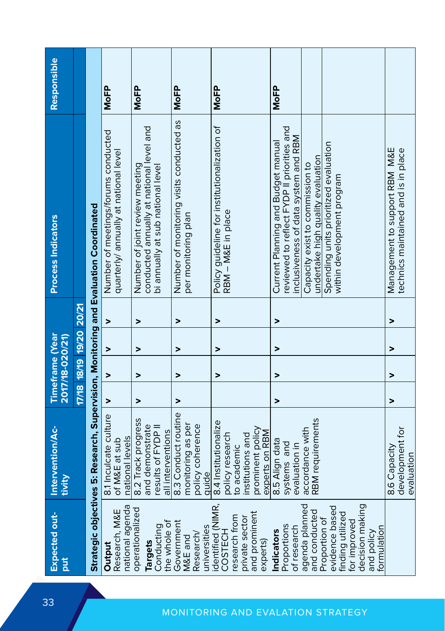| <b>Expected out-</b><br>ä                                                                                                            | Intervention/Ac-<br>tivity                                                                                       | <b>Timeframe (Year</b><br>2017/18-020/21) |                |                         |   | <b>Process Indicators</b>                                                                                                                                   | Responsible |
|--------------------------------------------------------------------------------------------------------------------------------------|------------------------------------------------------------------------------------------------------------------|-------------------------------------------|----------------|-------------------------|---|-------------------------------------------------------------------------------------------------------------------------------------------------------------|-------------|
|                                                                                                                                      |                                                                                                                  |                                           |                | 17/18 18/19 19/20 20/21 |   |                                                                                                                                                             |             |
|                                                                                                                                      | Strategic objectives 5: Research, Supervision, Monitoring and Evaluation Coordinated                             |                                           |                |                         |   |                                                                                                                                                             |             |
| national agenda<br>Research, M&E<br>Output                                                                                           | 8.1 Inculcate culture<br>national levels<br>of M&E at sub                                                        | >                                         | >              | >                       | > | Number of meetings/forums conducted<br>quarterly/ annually at national level                                                                                | <b>MoFP</b> |
| operationalized<br>the whole of<br>Conducting<br>Targets                                                                             | 8.2 Track progress<br>and demonstrate<br>results of FYDP II<br>all interventions                                 | >                                         | >              | >                       | > | conducted annually at national level and<br>Number of joint review meeting<br>bi annually at sub national level                                             | <b>MoFP</b> |
| Government<br>universities<br>Research/<br>M&E and                                                                                   | 8.3 Conduct routine<br>monitoring as per<br>policy coherence<br>quide                                            | >                                         | >              | >                       | > | Number of monitoring visits conducted as<br>per monitoring plan                                                                                             | <b>MoFP</b> |
| dentified (NIMR,<br>and prominent<br>esearch from<br>private sector<br>COSTECH<br>experts)                                           | 8.4 Institutionalize<br>prominent policy<br>experts on RBM<br>policy research<br>institutions and<br>to academic |                                           | $\overline{ }$ | >                       | > | Policy guideline for institutionalization of<br>RBM - M&E in place                                                                                          | <b>MoFP</b> |
| agenda planned<br>Proportions<br>of research<br>Indicators                                                                           | accordance with<br>8.5 Align data<br>systems and<br>evaluation in                                                | >                                         | >              | >                       | > | reviewed to reflect FYDP II priorities and<br>inclusiveness of data system and RBM<br>Current Planning and Budget manual<br>Capacity exist to commission to | <b>MoFP</b> |
| decision making<br>evidence based<br>and conducted<br>finding utilized<br>Proportion of<br>for improved<br>formulation<br>and policy | RBM requirements                                                                                                 |                                           |                |                         |   | Spending units prioritized evaluation<br>undertake high quality evaluation<br>within development program                                                    |             |
|                                                                                                                                      | development for<br>8.6 Capacity<br>evaluation                                                                    | >                                         | >              | >                       | > | Management to support RBM M&E<br>technics maintained and is in place                                                                                        |             |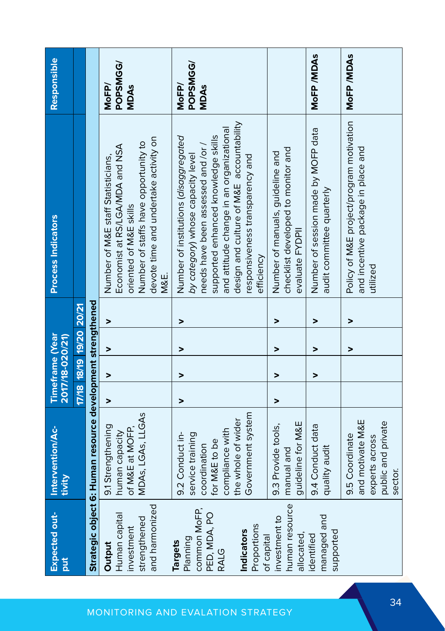| <b>Expected out-</b><br><b>Juc</b>                                                                            | Intervention/Ac-<br>tivity                                                                                                         | <b>Timeframe</b> (Year<br>2017/18-020/21) |   |                          |   | <b>Process Indicators</b>                                                                                                                                                                                                                                                                        | Responsible                      |
|---------------------------------------------------------------------------------------------------------------|------------------------------------------------------------------------------------------------------------------------------------|-------------------------------------------|---|--------------------------|---|--------------------------------------------------------------------------------------------------------------------------------------------------------------------------------------------------------------------------------------------------------------------------------------------------|----------------------------------|
|                                                                                                               |                                                                                                                                    | 17/18 18/19 19/20 20/21                   |   |                          |   |                                                                                                                                                                                                                                                                                                  |                                  |
|                                                                                                               | Strategic object 6: Human resource development strengthened                                                                        |                                           |   |                          |   |                                                                                                                                                                                                                                                                                                  |                                  |
| and harmonized<br>Human capital<br>strengthened<br>investment<br>Output                                       | MDAS, LGAS, LLGAS<br>9.1 Strengthening<br>of M&E at MOFP,<br>human capacity                                                        | >                                         | > | $\overline{ }$           | > | devote time and undertake activity on<br>Number of staffs have opportunity to<br>Economist at RS/LGA/MDA and NSA<br>Number of M&E staff Statisticians,<br>oriented of M&E skills<br>M&E.                                                                                                         | POPSMGG/<br>MoFP/<br><b>MDAs</b> |
| common MoFP,<br>PED, MDA, PO<br>Proportions<br><b>Indicators</b><br>Planning<br><b>Targets</b><br><b>RALG</b> | Government system<br>the whole of wider<br>compliance with<br>9.2 Conduct in-<br>service training<br>for M&E to be<br>coordination | >                                         | > | >                        | > | design and culture of M&E accountability<br>and attitude change in an organizational<br>Number of institutions (disaggregated<br>supported enhanced knowledge skills<br>needs have been assessed and /or /<br>by category) whose capacity level<br>responsiveness transparency and<br>efficiency | POPSMGG/<br>MoFP/<br>MDAs        |
| human resource<br>investment to<br>allocated,<br>of capital                                                   | guideline for M&E<br>9.3 Provide tools,<br>manual and                                                                              | >                                         | > | >                        | > | checklist developed to monitor and<br>Number of manuals, guideline and<br>evaluate FYDPII                                                                                                                                                                                                        |                                  |
| managed and<br>supported<br>identified                                                                        | 9.4 Conduct data<br>quality audit                                                                                                  |                                           | > | >                        | > | Number of session made by MOFP data<br>audit committee quarterly                                                                                                                                                                                                                                 | MoFP/MDAs                        |
|                                                                                                               | and motivate M&E<br>public and private<br>9.5 Coordinate<br>experts across<br>sector.                                              |                                           |   | $\overline{\phantom{1}}$ | > | Policy of M&E project/program motivation<br>and incentive package in place and<br>utilized                                                                                                                                                                                                       | MoFP/MDAs                        |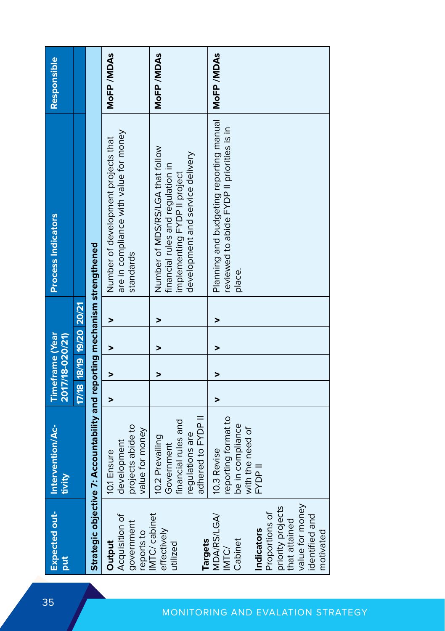| Expected out-<br>put                                                                                                 | Intervention/Ac-<br>tivity                                                                    |   | <b>Timeframe</b> (Year<br>2017/18-020/21) |                         |   | <b>Process Indicators</b>                                                                                                                 | Responsible |
|----------------------------------------------------------------------------------------------------------------------|-----------------------------------------------------------------------------------------------|---|-------------------------------------------|-------------------------|---|-------------------------------------------------------------------------------------------------------------------------------------------|-------------|
|                                                                                                                      |                                                                                               |   |                                           | 17/18 18/19 19/20 20/21 |   |                                                                                                                                           |             |
|                                                                                                                      | Strategic objective 7: Accountability and reporting mechanism strengthened                    |   |                                           |                         |   |                                                                                                                                           |             |
| Acquisition of<br>government<br>reports to<br>Output                                                                 | projects abide to<br>value for money<br>development<br>10.1 Ensure                            | > | >                                         | >                       | > | are in compliance with value for money<br>Number of development projects that<br>standards                                                | MoFP/MDAs   |
| IMTC/cabinet<br>effectively<br><b>Targets</b><br>utilized                                                            | adhered to FYDP II<br>financial rules and<br>regulations are<br>10.2 Prevailing<br>Government |   | >                                         | >                       | > | Number of MDS/RS/LGA that follow<br>development and service delivery<br>financial rules and regulation in<br>implementing FYDP II project | MoFP/MDAs   |
| <b>MDA/RS/LGA/</b><br>Cabinet<br>IMTC)                                                                               | reporting format to<br>be in compliance<br>with the need of<br>10.3 Revise                    | > | >                                         | >                       |   | Planning and budgeting reporting manual<br>reviewed to abide FYDP II priorities is in<br>place.                                           | MoFP/MDAs   |
| value for money<br>priority projects<br>Proportions of<br>identified and<br>that attained<br>Indicators<br>motivated | FYDP II                                                                                       |   |                                           |                         |   |                                                                                                                                           |             |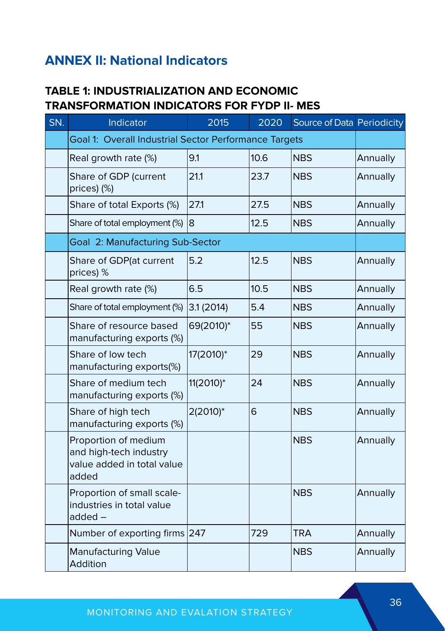## **ANNEX II: National Indicators**

#### **TABLE 1: INDUSTRIALIZATION AND ECONOMIC TRANSFORMATION INDICATORS FOR FYDP II- MES**

| SN. | Indicator                                                                             | 2015      | 2020 | Source of Data Periodicity |          |
|-----|---------------------------------------------------------------------------------------|-----------|------|----------------------------|----------|
|     | Goal 1: Overall Industrial Sector Performance Targets                                 |           |      |                            |          |
|     | Real growth rate (%)                                                                  | 9.1       | 10.6 | <b>NBS</b>                 | Annually |
|     | Share of GDP (current<br>prices) (%)                                                  | 21.1      | 23.7 | <b>NBS</b>                 | Annually |
|     | Share of total Exports (%)                                                            | 27.1      | 27.5 | <b>NBS</b>                 | Annually |
|     | Share of total employment (%)                                                         | 8         | 12.5 | <b>NBS</b>                 | Annually |
|     | Goal 2: Manufacturing Sub-Sector                                                      |           |      |                            |          |
|     | Share of GDP(at current<br>prices) %                                                  | 5.2       | 12.5 | <b>NBS</b>                 | Annually |
|     | Real growth rate (%)                                                                  | 6.5       | 10.5 | <b>NBS</b>                 | Annually |
|     | Share of total employment (%)                                                         | 3.1(2014) | 5.4  | <b>NBS</b>                 | Annually |
|     | Share of resource based<br>manufacturing exports (%)                                  | 69(2010)* | 55   | <b>NBS</b>                 | Annually |
|     | Share of low tech<br>manufacturing exports(%)                                         | 17(2010)* | 29   | <b>NBS</b>                 | Annually |
|     | Share of medium tech<br>manufacturing exports (%)                                     | 11(2010)* | 24   | <b>NBS</b>                 | Annually |
|     | Share of high tech<br>manufacturing exports (%)                                       | 2(2010)*  | 6    | <b>NBS</b>                 | Annually |
|     | Proportion of medium<br>and high-tech industry<br>value added in total value<br>added |           |      | <b>NBS</b>                 | Annually |
|     | Proportion of small scale-<br>industries in total value<br>$added -$                  |           |      | <b>NBS</b>                 | Annually |
|     | Number of exporting firms 247                                                         |           | 729  | <b>TRA</b>                 | Annually |
|     | <b>Manufacturing Value</b><br>Addition                                                |           |      | <b>NBS</b>                 | Annually |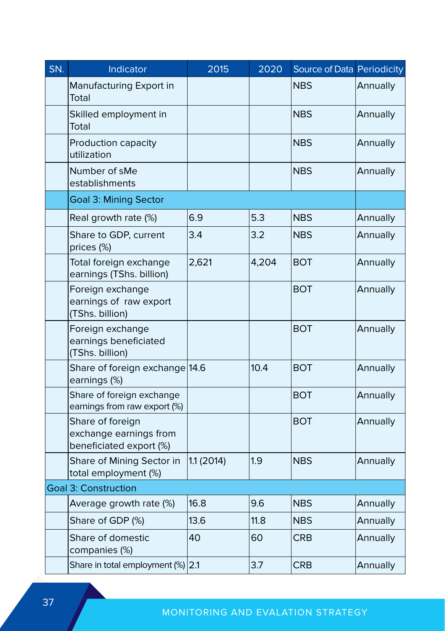| SN. | Indicator                                                             | 2015       | 2020  | Source of Data Periodicity |          |
|-----|-----------------------------------------------------------------------|------------|-------|----------------------------|----------|
|     | Manufacturing Export in<br>Total                                      |            |       | <b>NBS</b>                 | Annually |
|     | Skilled employment in<br>Total                                        |            |       | <b>NBS</b>                 | Annually |
|     | Production capacity<br>utilization                                    |            |       | <b>NBS</b>                 | Annually |
|     | Number of sMe<br>establishments                                       |            |       | <b>NBS</b>                 | Annually |
|     | <b>Goal 3: Mining Sector</b>                                          |            |       |                            |          |
|     | Real growth rate (%)                                                  | 6.9        | 5.3   | <b>NBS</b>                 | Annually |
|     | Share to GDP, current<br>prices (%)                                   | 3.4        | 3.2   | <b>NBS</b>                 | Annually |
|     | Total foreign exchange<br>earnings (TShs. billion)                    | 2,621      | 4,204 | BOT                        | Annually |
|     | Foreign exchange<br>earnings of raw export<br>(TShs. billion)         |            |       | <b>BOT</b>                 | Annually |
|     | Foreign exchange<br>earnings beneficiated<br>(TShs. billion)          |            |       | <b>BOT</b>                 | Annually |
|     | Share of foreign exchange 14.6<br>earnings (%)                        |            | 10.4  | <b>BOT</b>                 | Annually |
|     | Share of foreign exchange<br>earnings from raw export (%)             |            |       | <b>BOT</b>                 | Annually |
|     | Share of foreign<br>exchange earnings from<br>beneficiated export (%) |            |       | BOT                        | Annually |
|     | Share of Mining Sector in<br>total employment (%)                     | 1.1 (2014) | 1.9   | <b>NBS</b>                 | Annually |
|     | <b>Goal 3: Construction</b>                                           |            |       |                            |          |
|     | Average growth rate (%)                                               | 16.8       | 9.6   | <b>NBS</b>                 | Annually |
|     | Share of GDP (%)                                                      | 13.6       | 11.8  | NBS                        | Annually |
|     | Share of domestic<br>companies (%)                                    | 40         | 60    | <b>CRB</b>                 | Annually |
|     | Share in total employment (%) 2.1                                     |            | 3.7   | <b>CRB</b>                 | Annually |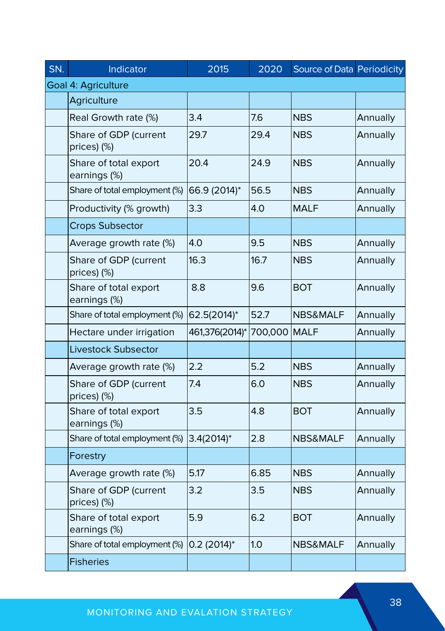| SN. | Indicator                             | 2015                      | 2020    | Source of Data Periodicity |          |
|-----|---------------------------------------|---------------------------|---------|----------------------------|----------|
|     | Goal 4: Agriculture                   |                           |         |                            |          |
|     | Agriculture                           |                           |         |                            |          |
|     | Real Growth rate (%)                  | 3.4                       | 7.6     | NBS                        | Annually |
|     | Share of GDP (current<br>prices) (%)  | 29.7                      | 29.4    | <b>NBS</b>                 | Annually |
|     | Share of total export<br>earnings (%) | 20.4                      | 24.9    | <b>NBS</b>                 | Annually |
|     | Share of total employment (%)         | 66.9 (2014)*              | 56.5    | <b>NBS</b>                 | Annually |
|     | Productivity (% growth)               | 3.3                       | 4.0     | <b>MALF</b>                | Annually |
|     | <b>Crops Subsector</b>                |                           |         |                            |          |
|     | Average growth rate (%)               | 4.0                       | 9.5     | <b>NBS</b>                 | Annually |
|     | Share of GDP (current<br>prices) (%)  | 16.3                      | 16.7    | <b>NBS</b>                 | Annually |
|     | Share of total export<br>earnings (%) | 8.8                       | 9.6     | BOT                        | Annually |
|     | Share of total employment (%)         | 62.5(2014)*               | 52.7    | <b>NBS&amp;MALF</b>        | Annually |
|     | Hectare under irrigation              | 461,376(2014)*            | 700,000 | <b>MALF</b>                | Annually |
|     | Livestock Subsector                   |                           |         |                            |          |
|     | Average growth rate (%)               | 2.2                       | 5.2     | <b>NBS</b>                 | Annually |
|     | Share of GDP (current<br>prices) (%)  | 7.4                       | 6.0     | <b>NBS</b>                 | Annually |
|     | Share of total export<br>earnings (%) | 3.5                       | 4.8     | BOT                        | Annually |
|     | Share of total employment (%)         | $3.4(2014)^{*}$           | 2.8     | <b>NBS&amp;MALF</b>        | Annually |
|     | Forestry                              |                           |         |                            |          |
|     | Average growth rate (%)               | 5.17                      | 6.85    | <b>NBS</b>                 | Annually |
|     | Share of GDP (current<br>prices) (%)  | 3.2                       | 3.5     | <b>NBS</b>                 | Annually |
|     | Share of total export<br>earnings (%) | 5.9                       | 6.2     | BOT                        | Annually |
|     | Share of total employment (%)         | $0.2$ (2014) <sup>*</sup> | 1.0     | <b>NBS&amp;MALF</b>        | Annually |
|     | <b>Fisheries</b>                      |                           |         |                            |          |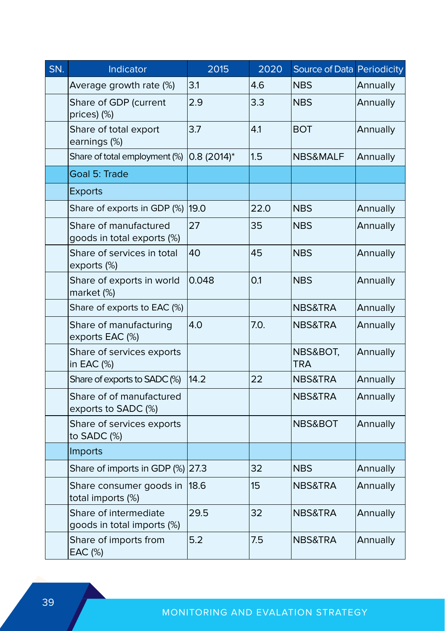| SN. | Indicator                                           | 2015            | 2020 | Source of Data Periodicity |          |
|-----|-----------------------------------------------------|-----------------|------|----------------------------|----------|
|     | Average growth rate (%)                             | 3.1             | 4.6  | <b>NBS</b>                 | Annually |
|     | Share of GDP (current<br>prices) (%)                | 2.9             | 3.3  | <b>NBS</b>                 | Annually |
|     | Share of total export<br>earnings (%)               | 3.7             | 4.1  | <b>BOT</b>                 | Annually |
|     | Share of total employment (%)                       | $0.8(2014)^{*}$ | 1.5  | NBS&MALF                   | Annually |
|     | Goal 5: Trade                                       |                 |      |                            |          |
|     | <b>Exports</b>                                      |                 |      |                            |          |
|     | Share of exports in GDP (%) 19.0                    |                 | 22.0 | <b>NBS</b>                 | Annually |
|     | Share of manufactured<br>goods in total exports (%) | 27              | 35   | <b>NBS</b>                 | Annually |
|     | Share of services in total<br>exports (%)           | 40              | 45   | <b>NBS</b>                 | Annually |
|     | Share of exports in world<br>market (%)             | 0.048           | 0.1  | <b>NBS</b>                 | Annually |
|     | Share of exports to EAC (%)                         |                 |      | NBS&TRA                    | Annually |
|     | Share of manufacturing<br>exports EAC (%)           | 4.0             | 7.0. | NBS&TRA                    | Annually |
|     | Share of services exports<br>in EAC (%)             |                 |      | NBS&BOT,<br>TRA            | Annually |
|     | Share of exports to SADC (%)                        | 14.2            | 22   | NBS&TRA                    | Annually |
|     | Share of of manufactured<br>exports to SADC (%)     |                 |      | NBS&TRA                    | Annually |
|     | Share of services exports<br>to SADC (%)            |                 |      | NBS&BOT                    | Annually |
|     | Imports                                             |                 |      |                            |          |
|     | Share of imports in GDP (%) 27.3                    |                 | 32   | NBS                        | Annually |
|     | Share consumer goods in<br>total imports (%)        | 18.6            | 15   | NBS&TRA                    | Annually |
|     | Share of intermediate<br>goods in total imports (%) | 29.5            | 32   | NBS&TRA                    | Annually |
|     | Share of imports from<br>EAC (%)                    | 5.2             | 7.5  | NBS&TRA                    | Annually |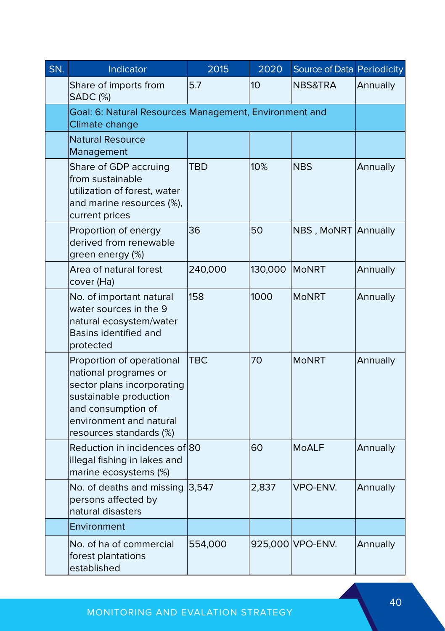| SN. | Indicator                                                                                                                                                                              | 2015    | 2020            | Source of Data Periodicity |          |
|-----|----------------------------------------------------------------------------------------------------------------------------------------------------------------------------------------|---------|-----------------|----------------------------|----------|
|     | Share of imports from<br><b>SADC</b> (%)                                                                                                                                               | 5.7     | 10 <sup>2</sup> | NBS&TRA                    | Annually |
|     | Goal: 6: Natural Resources Management, Environment and<br>Climate change                                                                                                               |         |                 |                            |          |
|     | <b>Natural Resource</b><br>Management                                                                                                                                                  |         |                 |                            |          |
|     | Share of GDP accruing<br>from sustainable<br>utilization of forest, water<br>and marine resources (%),<br>current prices                                                               | TBD     | 10%             | NBS                        | Annually |
|     | Proportion of energy<br>derived from renewable<br>green energy (%)                                                                                                                     | 36      | 50              | NBS, MoNRT                 | Annually |
|     | Area of natural forest<br>cover (Ha)                                                                                                                                                   | 240,000 | 130,000         | <b>MoNRT</b>               | Annually |
|     | No. of important natural<br>water sources in the 9<br>natural ecosystem/water<br><b>Basins identified and</b><br>protected                                                             | 158     | 1000            | <b>MoNRT</b>               | Annually |
|     | Proportion of operational<br>national programes or<br>sector plans incorporating<br>sustainable production<br>and consumption of<br>environment and natural<br>resources standards (%) | TBC     | 70              | MoNRT                      | Annually |
|     | Reduction in incidences of 80<br>illegal fishing in lakes and<br>marine ecosystems (%)                                                                                                 |         | 60              | <b>MoALF</b>               | Annually |
|     | No. of deaths and missing<br>persons affected by<br>natural disasters                                                                                                                  | 3,547   | 2,837           | VPO-ENV.                   | Annually |
|     | Environment                                                                                                                                                                            |         |                 |                            |          |
|     | No. of ha of commercial<br>forest plantations<br>established                                                                                                                           | 554,000 |                 | 925,000 VPO-ENV.           | Annually |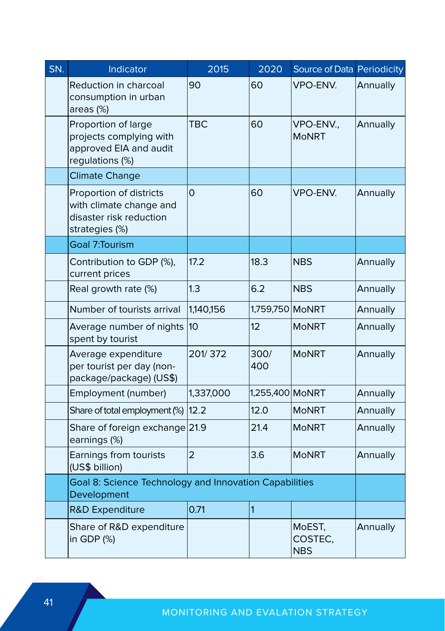| SN. | Indicator                                                                                       | 2015           | 2020            | Source of Data Periodicity      |          |
|-----|-------------------------------------------------------------------------------------------------|----------------|-----------------|---------------------------------|----------|
|     | Reduction in charcoal<br>consumption in urban<br>areas (%)                                      | 90             | 60              | VPO-ENV.                        | Annually |
|     | Proportion of large<br>projects complying with<br>approved EIA and audit<br>regulations (%)     | <b>TBC</b>     | 60              | VPO-ENV.,<br><b>MoNRT</b>       | Annually |
|     | <b>Climate Change</b>                                                                           |                |                 |                                 |          |
|     | Proportion of districts<br>with climate change and<br>disaster risk reduction<br>strategies (%) | 0              | 60              | VPO-ENV.                        | Annually |
|     | Goal 7:Tourism                                                                                  |                |                 |                                 |          |
|     | Contribution to GDP (%),<br>current prices                                                      | 17.2           | 18.3            | NBS                             | Annually |
|     | Real growth rate (%)                                                                            | 1.3            | 6.2             | <b>NBS</b>                      | Annually |
|     | Number of tourists arrival                                                                      | 1,140,156      | 1,759,750 MoNRT |                                 | Annually |
|     | Average number of nights<br>spent by tourist                                                    | 10             | 12              | <b>MoNRT</b>                    | Annually |
|     | Average expenditure<br>per tourist per day (non-<br>package/package) (US\$)                     | 201/372        | 300/<br>400     | MoNRT                           | Annually |
|     | Employment (number)                                                                             | 1,337,000      | 1,255,400 MoNRT |                                 | Annually |
|     | Share of total employment (%)                                                                   | 12.2           | 12.0            | MoNRT                           | Annually |
|     | Share of foreign exchange 21.9<br>earnings (%)                                                  |                | 21.4            | MoNRT                           | Annually |
|     | Earnings from tourists<br>(US\$ billion)                                                        | $\overline{2}$ | 3.6             | <b>MoNRT</b>                    | Annually |
|     | Goal 8: Science Technology and Innovation Capabilities<br>Development                           |                |                 |                                 |          |
|     | R&D Expenditure                                                                                 | 0.71           | 1               |                                 |          |
|     | Share of R&D expenditure<br>in GDP (%)                                                          |                |                 | MoEST,<br>COSTEC,<br><b>NBS</b> | Annually |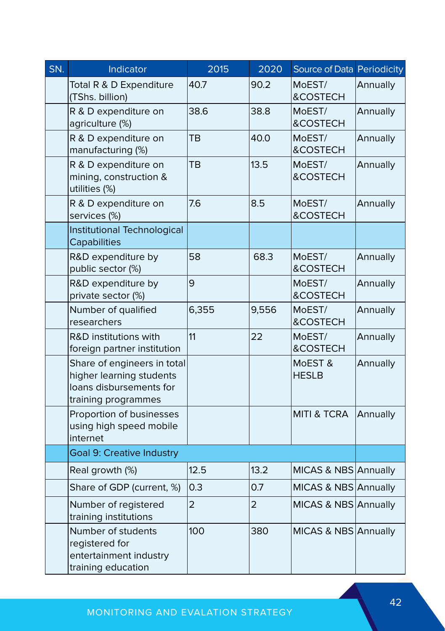| SN. | Indicator                                                                                                 | 2015           | 2020  | Source of Data Periodicity |          |
|-----|-----------------------------------------------------------------------------------------------------------|----------------|-------|----------------------------|----------|
|     | Total R & D Expenditure<br>(TShs. billion)                                                                | 40.7           | 90.2  | MoEST/<br>&COSTECH         | Annually |
|     | R & D expenditure on<br>agriculture (%)                                                                   | 38.6           | 38.8  | MoEST/<br>&COSTECH         | Annually |
|     | R & D expenditure on<br>manufacturing (%)                                                                 | ΤВ             | 40.0  | MoEST/<br>&COSTECH         | Annually |
|     | R & D expenditure on<br>mining, construction &<br>utilities (%)                                           | TВ             | 13.5  | MoEST/<br>&COSTECH         | Annually |
|     | R & D expenditure on<br>services (%)                                                                      | 7.6            | 8.5   | MoEST/<br>&COSTECH         | Annually |
|     | Institutional Technological<br>Capabilities                                                               |                |       |                            |          |
|     | R&D expenditure by<br>public sector (%)                                                                   | 58             | 68.3  | MoEST/<br>&COSTECH         | Annually |
|     | R&D expenditure by<br>private sector (%)                                                                  | 9              |       | MoEST/<br>&COSTECH         | Annually |
|     | Number of qualified<br>researchers                                                                        | 6,355          | 9,556 | MoEST/<br>&COSTECH         | Annually |
|     | R&D institutions with<br>foreign partner institution                                                      | 11             | 22    | MoEST/<br>&COSTECH         | Annually |
|     | Share of engineers in total<br>higher learning students<br>loans disbursements for<br>training programmes |                |       | MoEST &<br><b>HESLB</b>    | Annually |
|     | Proportion of businesses<br>using high speed mobile<br>internet                                           |                |       | <b>MITI &amp; TCRA</b>     | Annually |
|     | <b>Goal 9: Creative Industry</b>                                                                          |                |       |                            |          |
|     | Real growth (%)                                                                                           | 12.5           | 13.2  | MICAS & NBS Annually       |          |
|     | Share of GDP (current, %)                                                                                 | 0.3            | 0.7   | MICAS & NBS Annually       |          |
|     | Number of registered<br>training institutions                                                             | $\overline{2}$ | 2     | MICAS & NBS Annually       |          |
|     | Number of students<br>registered for<br>entertainment industry<br>training education                      | 100            | 380   | MICAS & NBS Annually       |          |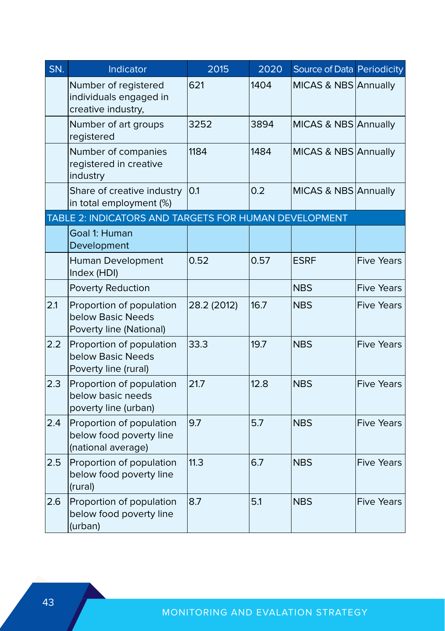| SN. | Indicator                                                                 | 2015        | 2020 | Source of Data Periodicity |                   |
|-----|---------------------------------------------------------------------------|-------------|------|----------------------------|-------------------|
|     | Number of registered<br>individuals engaged in<br>creative industry,      | 621         | 1404 | MICAS & NBS Annually       |                   |
|     | Number of art groups<br>registered                                        | 3252        | 3894 | MICAS & NBS Annually       |                   |
|     | Number of companies<br>registered in creative<br>industry                 | 1184        | 1484 | MICAS & NBS Annually       |                   |
|     | Share of creative industry<br>in total employment (%)                     | 0.1         | 0.2  | MICAS & NBS Annually       |                   |
|     | TABLE 2: INDICATORS AND TARGETS FOR HUMAN DEVELOPMENT                     |             |      |                            |                   |
|     | Goal 1: Human<br>Development                                              |             |      |                            |                   |
|     | Human Development<br>Index (HDI)                                          | 0.52        | 0.57 | <b>ESRF</b>                | <b>Five Years</b> |
|     | Poverty Reduction                                                         |             |      | <b>NBS</b>                 | <b>Five Years</b> |
| 2.1 | Proportion of population<br>below Basic Needs<br>Poverty line (National)  | 28.2 (2012) | 16.7 | <b>NBS</b>                 | <b>Five Years</b> |
| 2.2 | Proportion of population<br>below Basic Needs<br>Poverty line (rural)     | 33.3        | 19.7 | <b>NBS</b>                 | <b>Five Years</b> |
| 2.3 | Proportion of population<br>below basic needs<br>poverty line (urban)     | 21.7        | 12.8 | <b>NBS</b>                 | <b>Five Years</b> |
| 2.4 | Proportion of population<br>below food poverty line<br>(national average) | 9.7         | 5.7  | <b>NBS</b>                 | <b>Five Years</b> |
| 2.5 | Proportion of population<br>below food poverty line<br>(rural)            | 11.3        | 6.7  | <b>NBS</b>                 | <b>Five Years</b> |
| 2.6 | Proportion of population<br>below food poverty line<br>(urban)            | 8.7         | 5.1  | <b>NBS</b>                 | <b>Five Years</b> |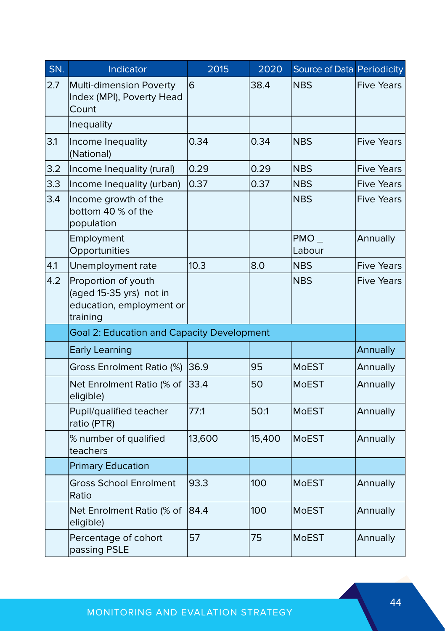| SN. | Indicator                                                                              | 2015   | 2020   | Source of Data Periodicity |                   |
|-----|----------------------------------------------------------------------------------------|--------|--------|----------------------------|-------------------|
| 2.7 | Multi-dimension Poverty<br>Index (MPI), Poverty Head<br>Count                          | 6      | 38.4   | <b>NBS</b>                 | <b>Five Years</b> |
|     | Inequality                                                                             |        |        |                            |                   |
| 3.1 | Income Inequality<br>(National)                                                        | 0.34   | 0.34   | <b>NBS</b>                 | <b>Five Years</b> |
| 3.2 | Income Inequality (rural)                                                              | 0.29   | 0.29   | <b>NBS</b>                 | <b>Five Years</b> |
| 3.3 | Income Inequality (urban)                                                              | 0.37   | 0.37   | <b>NBS</b>                 | <b>Five Years</b> |
| 3.4 | Income growth of the<br>bottom 40 % of the<br>population                               |        |        | <b>NBS</b>                 | <b>Five Years</b> |
|     | Employment<br>Opportunities                                                            |        |        | $PMO_$<br>Labour           | Annually          |
| 4.1 | Unemployment rate                                                                      | 10.3   | 8.0    | <b>NBS</b>                 | <b>Five Years</b> |
| 4.2 | Proportion of youth<br>(aged 15-35 yrs) not in<br>education, employment or<br>training |        |        | <b>NBS</b>                 | Five Years        |
|     | <b>Goal 2: Education and Capacity Development</b>                                      |        |        |                            |                   |
|     | <b>Early Learning</b>                                                                  |        |        |                            | Annually          |
|     | Gross Enrolment Ratio (%)                                                              | 36.9   | 95     | MoEST                      | Annually          |
|     | Net Enrolment Ratio (% of<br>eligible)                                                 | 33.4   | 50     | <b>MoEST</b>               | Annually          |
|     | Pupil/qualified teacher<br>ratio (PTR)                                                 | 77:1   | 50:1   | <b>MoEST</b>               | Annually          |
|     | % number of qualified<br>teachers                                                      | 13,600 | 15,400 | <b>MoEST</b>               | Annually          |
|     | <b>Primary Education</b>                                                               |        |        |                            |                   |
|     | <b>Gross School Enrolment</b><br>Ratio                                                 | 93.3   | 100    | MoEST                      | Annually          |
|     | Net Enrolment Ratio (% of<br>eligible)                                                 | 84.4   | 100    | <b>MoEST</b>               | Annually          |
|     | Percentage of cohort<br>passing PSLE                                                   | 57     | 75     | MoEST                      | Annually          |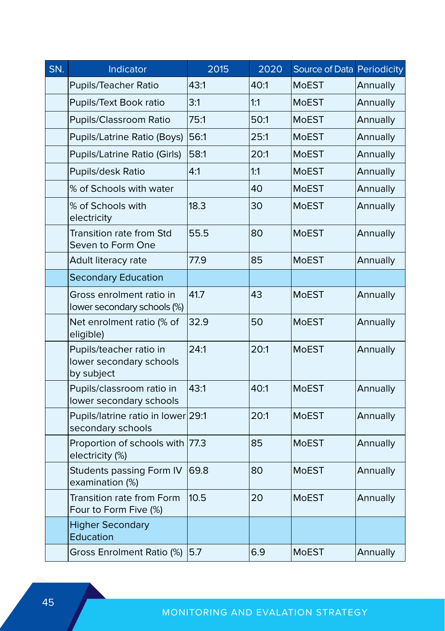| SN. | Indicator                                                        | 2015 | 2020 | Source of Data Periodicity |          |
|-----|------------------------------------------------------------------|------|------|----------------------------|----------|
|     | Pupils/Teacher Ratio                                             | 43:1 | 40:1 | <b>MoEST</b>               | Annually |
|     | Pupils/Text Book ratio                                           | 3:1  | 1:1  | <b>MoEST</b>               | Annually |
|     | Pupils/Classroom Ratio                                           | 75:1 | 50:1 | <b>MoEST</b>               | Annually |
|     | Pupils/Latrine Ratio (Boys)                                      | 56:1 | 25:1 | MoEST                      | Annually |
|     | Pupils/Latrine Ratio (Girls)                                     | 58:1 | 20:1 | MoEST                      | Annually |
|     | Pupils/desk Ratio                                                | 4:1  | 1:1  | <b>MoEST</b>               | Annually |
|     | % of Schools with water                                          |      | 40   | MoEST                      | Annually |
|     | % of Schools with<br>electricity                                 | 18.3 | 30   | MoEST                      | Annually |
|     | Transition rate from Std<br>Seven to Form One                    | 55.5 | 80   | <b>MoEST</b>               | Annually |
|     | Adult literacy rate                                              | 77.9 | 85   | <b>MoEST</b>               | Annually |
|     | <b>Secondary Education</b>                                       |      |      |                            |          |
|     | Gross enrolment ratio in<br>lower secondary schools (%)          | 41.7 | 43   | <b>MoEST</b>               | Annually |
|     | Net enrolment ratio (% of<br>eligible)                           | 32.9 | 50   | <b>MoEST</b>               | Annually |
|     | Pupils/teacher ratio in<br>lower secondary schools<br>by subject | 24:1 | 20:1 | <b>MoEST</b>               | Annually |
|     | Pupils/classroom ratio in<br>lower secondary schools             | 43:1 | 40:1 | <b>MoEST</b>               | Annually |
|     | Pupils/latrine ratio in lower 29:1<br>secondary schools          |      | 20:1 | <b>MoEST</b>               | Annually |
|     | Proportion of schools with<br>electricity (%)                    | 77.3 | 85   | <b>MoEST</b>               | Annually |
|     | Students passing Form IV<br>examination (%)                      | 69.8 | 80   | <b>MoEST</b>               | Annually |
|     | Transition rate from Form<br>Four to Form Five (%)               | 10.5 | 20   | <b>MoEST</b>               | Annually |
|     | <b>Higher Secondary</b><br>Education                             |      |      |                            |          |
|     | Gross Enrolment Ratio (%)                                        | 5.7  | 6.9  | <b>MoEST</b>               | Annually |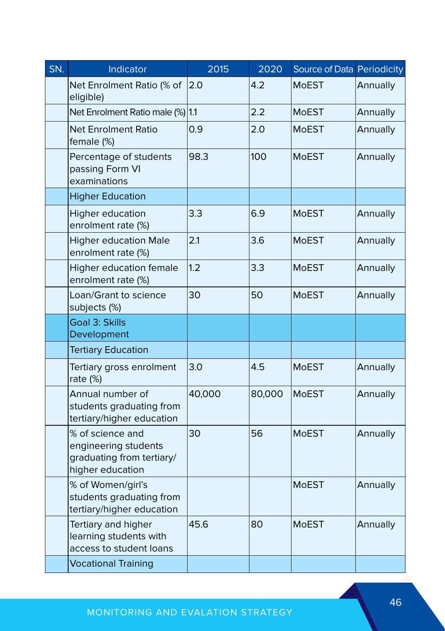| $\overline{\mathsf{SN}}$ . | Indicator                                                                                 | 2015   | 2020   | Source of Data Periodicity |          |  |
|----------------------------|-------------------------------------------------------------------------------------------|--------|--------|----------------------------|----------|--|
|                            | Net Enrolment Ratio (% of<br>eligible)                                                    | 2.0    | 4.2    | <b>MoEST</b>               | Annually |  |
|                            | Net Enrolment Ratio male (%) 1.1                                                          |        | 2.2    | <b>MoEST</b>               | Annually |  |
|                            | Net Enrolment Ratio<br>female (%)                                                         | 0.9    | 2.0    | <b>MoEST</b>               | Annually |  |
|                            | Percentage of students<br>passing Form VI<br>examinations                                 | 98.3   | 100    | <b>MoEST</b>               | Annually |  |
|                            | <b>Higher Education</b>                                                                   |        |        |                            |          |  |
|                            | Higher education<br>enrolment rate (%)                                                    | 3.3    | 6.9    | <b>MoEST</b><br>Annually   |          |  |
|                            | <b>Higher education Male</b><br>enrolment rate (%)                                        | 2.1    | 3.6    | <b>MoEST</b>               | Annually |  |
|                            | <b>Higher education female</b><br>enrolment rate (%)                                      | 1.2    | 3.3    | <b>MoEST</b>               | Annually |  |
|                            | Loan/Grant to science<br>subjects (%)                                                     | 30     | 50     | MoEST                      | Annually |  |
|                            | Goal 3: Skills<br>Development                                                             |        |        |                            |          |  |
|                            | <b>Tertiary Education</b>                                                                 |        |        |                            |          |  |
|                            | Tertiary gross enrolment<br>rate (%)                                                      | 3.0    | 4.5    | <b>MoEST</b>               | Annually |  |
|                            | Annual number of<br>students graduating from<br>tertiary/higher education                 | 40,000 | 80,000 | <b>MoEST</b>               | Annually |  |
|                            | % of science and<br>engineering students<br>graduating from tertiary/<br>higher education | 30     | 56     | <b>MoEST</b>               | Annually |  |
|                            | % of Women/girl's<br>students graduating from<br>tertiary/higher education                |        |        | <b>MoEST</b>               | Annually |  |
|                            | Tertiary and higher<br>learning students with<br>access to student loans                  | 45.6   | 80     | <b>MoEST</b>               | Annually |  |
|                            | <b>Vocational Training</b>                                                                |        |        |                            |          |  |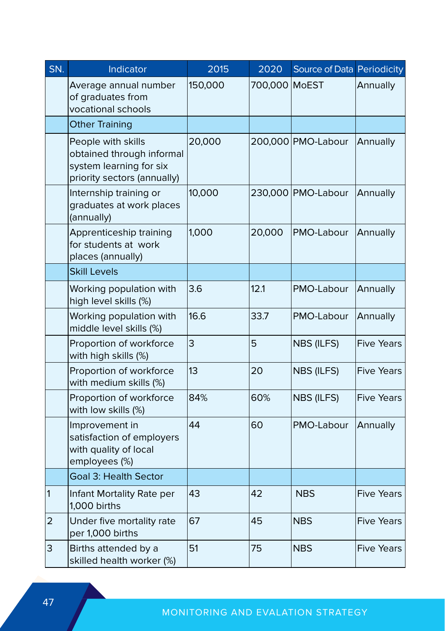| SN.            | Indicator                                                                                                 | 2015    | 2020          | Source of Data Periodicity |                   |
|----------------|-----------------------------------------------------------------------------------------------------------|---------|---------------|----------------------------|-------------------|
|                | Average annual number<br>of graduates from<br>vocational schools                                          | 150,000 | 700,000 MoEST |                            | Annually          |
|                | <b>Other Training</b>                                                                                     |         |               |                            |                   |
|                | People with skills<br>obtained through informal<br>system learning for six<br>priority sectors (annually) | 20,000  |               | 200,000 PMO-Labour         | Annually          |
|                | Internship training or<br>graduates at work places<br>(annually)                                          | 10,000  |               | 230,000 PMO-Labour         | Annually          |
|                | Apprenticeship training<br>for students at work<br>places (annually)                                      | 1,000   | 20,000        | PMO-Labour                 | Annually          |
|                | <b>Skill Levels</b>                                                                                       |         |               |                            |                   |
|                | Working population with<br>high level skills (%)                                                          | 3.6     | 12.1          | PMO-Labour                 | Annually          |
|                | Working population with<br>middle level skills (%)                                                        | 16.6    | 33.7          | PMO-Labour                 | Annually          |
|                | Proportion of workforce<br>with high skills (%)                                                           | 3       | 5             | NBS (ILFS)                 | <b>Five Years</b> |
|                | Proportion of workforce<br>with medium skills (%)                                                         | 13      | 20            | NBS (ILFS)                 | <b>Five Years</b> |
|                | Proportion of workforce<br>with low skills (%)                                                            | 84%     | 60%           | NBS (ILFS)                 | <b>Five Years</b> |
|                | Improvement in<br>satisfaction of employers<br>with quality of local<br>employees (%)                     | 44      | 60            | PMO-Labour                 | Annually          |
|                | <b>Goal 3: Health Sector</b>                                                                              |         |               |                            |                   |
| $\vert$ 1      | Infant Mortality Rate per<br>1,000 births                                                                 | 43      | 42            | <b>NBS</b>                 | <b>Five Years</b> |
| $\overline{2}$ | Under five mortality rate<br>per 1,000 births                                                             | 67      | 45            | <b>NBS</b>                 | <b>Five Years</b> |
| 3              | Births attended by a<br>skilled health worker (%)                                                         | 51      | 75            | <b>NBS</b>                 | <b>Five Years</b> |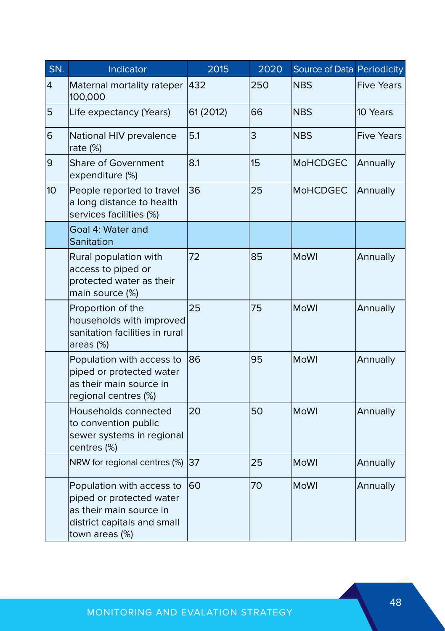| SN. | Indicator                                                                                                                         | 2015      | 2020 | Source of Data Periodicity |                   |  |
|-----|-----------------------------------------------------------------------------------------------------------------------------------|-----------|------|----------------------------|-------------------|--|
| 4   | Maternal mortality rateper<br>100,000                                                                                             | 432       | 250  | <b>NBS</b>                 | <b>Five Years</b> |  |
| 5   | Life expectancy (Years)                                                                                                           | 61 (2012) | 66   | <b>NBS</b>                 | 10 Years          |  |
| 6   | National HIV prevalence<br>rate (%)                                                                                               | 5.1       | 3    | <b>NBS</b>                 | <b>Five Years</b> |  |
| 9   | Share of Government<br>expenditure (%)                                                                                            | 8.1       | 15   | <b>MoHCDGEC</b>            | Annually          |  |
| 10  | People reported to travel<br>a long distance to health<br>services facilities (%)                                                 | 36        | 25   | <b>MoHCDGEC</b>            | Annually          |  |
|     | Goal 4: Water and<br>Sanitation                                                                                                   |           |      |                            |                   |  |
|     | Rural population with<br>access to piped or<br>protected water as their<br>main source (%)                                        | 72        | 85   | <b>MoWI</b>                | Annually          |  |
|     | Proportion of the<br>households with improved<br>sanitation facilities in rural<br>areas (%)                                      | 25        | 75   | <b>MoWI</b>                | Annually          |  |
|     | Population with access to<br>piped or protected water<br>as their main source in<br>regional centres (%)                          | 86        | 95   | <b>MoWI</b>                | Annually          |  |
|     | Households connected<br>to convention public<br>sewer systems in regional<br>centres (%)                                          | 20        | 50   | <b>MoWI</b>                | Annually          |  |
|     | NRW for regional centres (%)                                                                                                      | 37        | 25   | <b>MoWI</b>                | Annually          |  |
|     | Population with access to<br>piped or protected water<br>as their main source in<br>district capitals and small<br>town areas (%) | 60        | 70   | <b>MoWI</b>                | Annually          |  |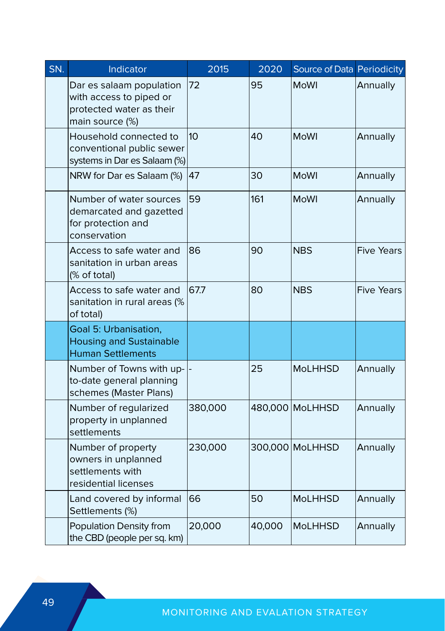| SN. | Indicator                                                                                          | 2015    | 2020   | Source of Data Periodicity |                   |
|-----|----------------------------------------------------------------------------------------------------|---------|--------|----------------------------|-------------------|
|     | Dar es salaam population<br>with access to piped or<br>protected water as their<br>main source (%) | 72      | 95     | <b>MoWI</b>                | Annually          |
|     | Household connected to<br>conventional public sewer<br>systems in Dar es Salaam (%)                | 10      | 40     | <b>MoWI</b>                | Annually          |
|     | NRW for Dar es Salaam (%)                                                                          | 47      | 30     | <b>MoWI</b>                | Annually          |
|     | Number of water sources<br>demarcated and gazetted<br>for protection and<br>conservation           | 59      | 161    | MoWI                       | Annually          |
|     | Access to safe water and<br>sanitation in urban areas<br>(% of total)                              | 86      | 90     | <b>NBS</b>                 | <b>Five Years</b> |
|     | Access to safe water and<br>sanitation in rural areas (%<br>of total)                              | 67.7    | 80     | <b>NBS</b>                 | <b>Five Years</b> |
|     | Goal 5: Urbanisation,<br><b>Housing and Sustainable</b><br><b>Human Settlements</b>                |         |        |                            |                   |
|     | Number of Towns with up- -<br>to-date general planning<br>schemes (Master Plans)                   |         | 25     | <b>MoLHHSD</b>             | Annually          |
|     | Number of regularized<br>property in unplanned<br>settlements                                      | 380,000 |        | 480,000 MoLHHSD            | Annually          |
|     | Number of property<br>owners in unplanned<br>settlements with<br>residential licenses              | 230,000 |        | 300,000 MoLHHSD            | Annually          |
|     | Land covered by informal<br>Settlements (%)                                                        | 66      | 50     | <b>MoLHHSD</b>             | Annually          |
|     | Population Density from<br>the CBD (people per sq. km)                                             | 20,000  | 40,000 | <b>MoLHHSD</b>             | Annually          |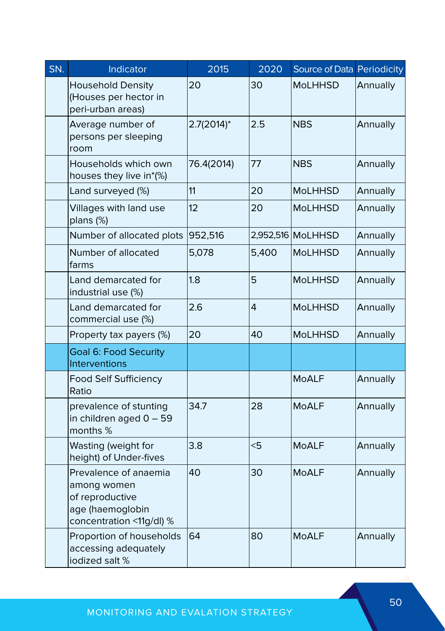| SN. | Indicator                                                                                               | 2015                 | 2020  | Source of Data Periodicity |          |  |
|-----|---------------------------------------------------------------------------------------------------------|----------------------|-------|----------------------------|----------|--|
|     | <b>Household Density</b><br>(Houses per hector in<br>peri-urban areas)                                  | 20                   | 30    | MoLHHSD                    | Annually |  |
|     | Average number of<br>persons per sleeping<br>room                                                       | $2.7(2014)^*$<br>2.5 |       | <b>NBS</b>                 | Annually |  |
|     | Households which own<br>houses they live in*(%)                                                         | 76.4(2014)           | 77    | <b>NBS</b>                 | Annually |  |
|     | Land surveyed (%)                                                                                       | 11                   | 20    | MoLHHSD                    | Annually |  |
|     | Villages with land use<br>plans (%)                                                                     | 12                   | 20    | <b>MoLHHSD</b>             | Annually |  |
|     | Number of allocated plots                                                                               | 952,516              |       | 2,952,516 MoLHHSD          | Annually |  |
|     | Number of allocated<br>farms                                                                            | 5.078                | 5,400 | <b>MoLHHSD</b>             | Annually |  |
|     | Land demarcated for<br>industrial use (%)                                                               | 1.8                  | 5     | <b>MoLHHSD</b>             | Annually |  |
|     | Land demarcated for<br>commercial use (%)                                                               | 2.6                  | 4     | <b>MoLHHSD</b>             | Annually |  |
|     | Property tax payers (%)                                                                                 | 20                   | 40    | <b>MoLHHSD</b>             | Annually |  |
|     | <b>Goal 6: Food Security</b><br>Interventions                                                           |                      |       |                            |          |  |
|     | <b>Food Self Sufficiency</b><br>Ratio                                                                   |                      |       | <b>MoALF</b>               | Annually |  |
|     | prevalence of stunting<br>in children aged $0 - 59$<br>months %                                         | 34.7                 | 28    | <b>MoALF</b>               | Annually |  |
|     | Wasting (weight for<br>height) of Under-fives                                                           | 3.8                  | <5    | <b>MoALF</b>               | Annually |  |
|     | Prevalence of anaemia<br>among women<br>of reproductive<br>age (haemoglobin<br>concentration <11g/dl) % | 40                   | 30    | <b>MoALF</b>               | Annually |  |
|     | Proportion of households<br>accessing adequately<br>iodized salt %                                      | 64                   | 80    | <b>MoALF</b>               | Annually |  |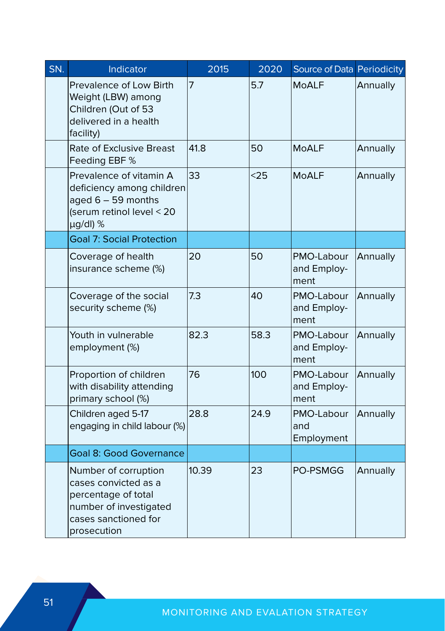| SN. | Indicator                                                                                                                            | 2015  | 2020 | Source of Data Periodicity        |          |
|-----|--------------------------------------------------------------------------------------------------------------------------------------|-------|------|-----------------------------------|----------|
|     | Prevalence of Low Birth<br>Weight (LBW) among<br>Children (Out of 53<br>delivered in a health<br>facility)                           | 7     | 5.7  | MoALF                             | Annually |
|     | Rate of Exclusive Breast<br>Feeding EBF %                                                                                            | 41.8  | 50   | <b>MoALF</b>                      | Annually |
|     | Prevalence of vitamin A<br>deficiency among children<br>aged $6 - 59$ months<br>(serum retinol level < 20<br>µg/dl) %                | 33    | $25$ | <b>MoALF</b>                      | Annually |
|     | <b>Goal 7: Social Protection</b>                                                                                                     |       |      |                                   |          |
|     | Coverage of health<br>insurance scheme (%)                                                                                           | 20    | 50   | PMO-Labour<br>and Employ-<br>ment | Annually |
|     | Coverage of the social<br>security scheme (%)                                                                                        | 7.3   | 40   | PMO-Labour<br>and Employ-<br>ment | Annually |
|     | Youth in vulnerable<br>employment (%)                                                                                                | 82.3  | 58.3 | PMO-Labour<br>and Employ-<br>ment | Annually |
|     | Proportion of children<br>with disability attending<br>primary school (%)                                                            | 76    | 100  | PMO-Labour<br>and Employ-<br>ment | Annually |
|     | Children aged 5-17<br>engaging in child labour (%)                                                                                   | 28.8  | 24.9 | PMO-Labour<br>and<br>Employment   | Annually |
|     | <b>Goal 8: Good Governance</b>                                                                                                       |       |      |                                   |          |
|     | Number of corruption<br>cases convicted as a<br>percentage of total<br>number of investigated<br>cases sanctioned for<br>prosecution | 10.39 | 23   | <b>PO-PSMGG</b>                   | Annually |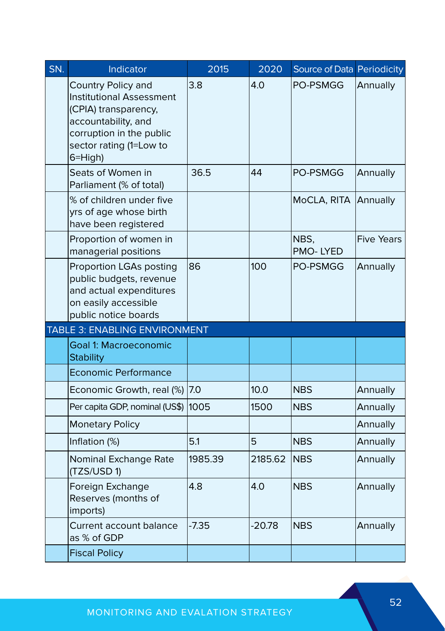| SN. | Indicator                                                                                                                                                              | 2015    | 2020     | Source of Data Periodicity |                   |
|-----|------------------------------------------------------------------------------------------------------------------------------------------------------------------------|---------|----------|----------------------------|-------------------|
|     | Country Policy and<br><b>Institutional Assessment</b><br>(CPIA) transparency,<br>accountability, and<br>corruption in the public<br>sector rating (1=Low to<br>6=High) | 3.8     | 4.0      | <b>PO-PSMGG</b>            | Annually          |
|     | Seats of Women in<br>Parliament (% of total)                                                                                                                           | 36.5    | 44       | PO-PSMGG                   | Annually          |
|     | % of children under five<br>yrs of age whose birth<br>have been registered                                                                                             |         |          | MoCLA, RITA                | Annually          |
|     | Proportion of women in<br>managerial positions                                                                                                                         |         |          | NBS.<br>PMO-LYED           | <b>Five Years</b> |
|     | Proportion LGAs posting<br>public budgets, revenue<br>and actual expenditures<br>on easily accessible<br>public notice boards                                          | 86      | 100      | PO-PSMGG                   | Annually          |
|     | TABLE 3: ENABLING ENVIRONMENT                                                                                                                                          |         |          |                            |                   |
|     | <b>Goal 1: Macroeconomic</b><br><b>Stability</b>                                                                                                                       |         |          |                            |                   |
|     | Economic Performance                                                                                                                                                   |         |          |                            |                   |
|     | Economic Growth, real (%)                                                                                                                                              | 7.0     | 10.0     | <b>NBS</b>                 | Annually          |
|     | Per capita GDP, nominal (US\$)                                                                                                                                         | 1005    | 1500     | <b>NBS</b>                 | Annually          |
|     | <b>Monetary Policy</b>                                                                                                                                                 |         |          |                            | Annually          |
|     | Inflation (%)                                                                                                                                                          | 5.1     | 5        | <b>NBS</b>                 | Annually          |
|     | Nominal Exchange Rate<br>(TZS/USD 1)                                                                                                                                   | 1985.39 | 2185.62  | NBS                        | Annually          |
|     | Foreign Exchange<br>Reserves (months of<br>imports)                                                                                                                    | 4.8     | 4.0      | <b>NBS</b>                 | Annually          |
|     | Current account balance<br>as % of GDP                                                                                                                                 | $-7.35$ | $-20.78$ | <b>NBS</b>                 | Annually          |
|     | <b>Fiscal Policy</b>                                                                                                                                                   |         |          |                            |                   |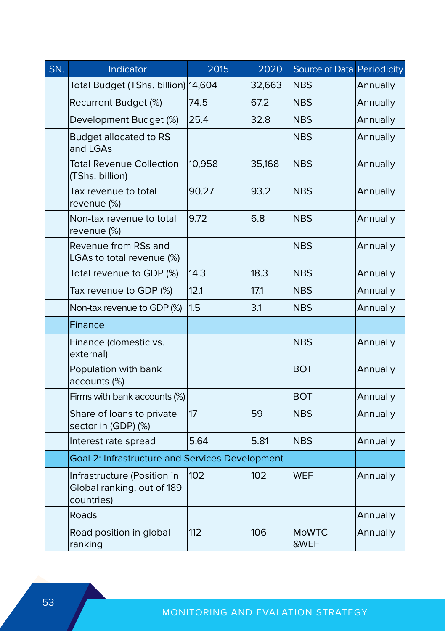| SN. | Indicator                                                               | 2015   | 2020   | Source of Data Periodicity |          |  |
|-----|-------------------------------------------------------------------------|--------|--------|----------------------------|----------|--|
|     | Total Budget (TShs. billion) 14,604                                     |        | 32,663 | <b>NBS</b>                 | Annually |  |
|     | Recurrent Budget (%)                                                    | 74.5   | 67.2   | <b>NBS</b>                 | Annually |  |
|     | Development Budget (%)                                                  | 25.4   | 32.8   | <b>NBS</b>                 | Annually |  |
|     | <b>Budget allocated to RS</b><br>and LGAs                               |        |        | <b>NBS</b>                 | Annually |  |
|     | <b>Total Revenue Collection</b><br>(TShs. billion)                      | 10,958 | 35,168 | <b>NBS</b>                 | Annually |  |
|     | Tax revenue to total<br>revenue (%)                                     | 90.27  | 93.2   | <b>NBS</b><br>Annually     |          |  |
|     | Non-tax revenue to total<br>revenue (%)                                 | 9.72   | 6.8    | <b>NBS</b>                 | Annually |  |
|     | Revenue from RSs and<br>LGAs to total revenue (%)                       |        |        | <b>NBS</b>                 | Annually |  |
|     | Total revenue to GDP (%)                                                | 14.3   | 18.3   | <b>NBS</b>                 | Annually |  |
|     | Tax revenue to GDP (%)                                                  | 12.1   | 17.1   | <b>NBS</b>                 | Annually |  |
|     | Non-tax revenue to GDP (%)                                              | 1.5    | 3.1    | <b>NBS</b>                 | Annually |  |
|     | Finance                                                                 |        |        |                            |          |  |
|     | Finance (domestic vs.<br>external)                                      |        |        | <b>NBS</b>                 | Annually |  |
|     | Population with bank<br>accounts (%)                                    |        |        | <b>BOT</b>                 | Annually |  |
|     | Firms with bank accounts (%)                                            |        |        | BOT                        | Annually |  |
|     | Share of loans to private<br>sector in (GDP) (%)                        | 17     | 59     | <b>NBS</b>                 | Annually |  |
|     | Interest rate spread                                                    | 5.64   | 5.81   | <b>NBS</b>                 | Annually |  |
|     | Goal 2: Infrastructure and Services Development                         |        |        |                            |          |  |
|     | Infrastructure (Position in<br>Global ranking, out of 189<br>countries) | 102    | 102    | <b>WEF</b>                 | Annually |  |
|     | Roads                                                                   |        |        |                            | Annually |  |
|     | Road position in global<br>ranking                                      | 112    | 106    | <b>MoWTC</b><br>&WEF       | Annually |  |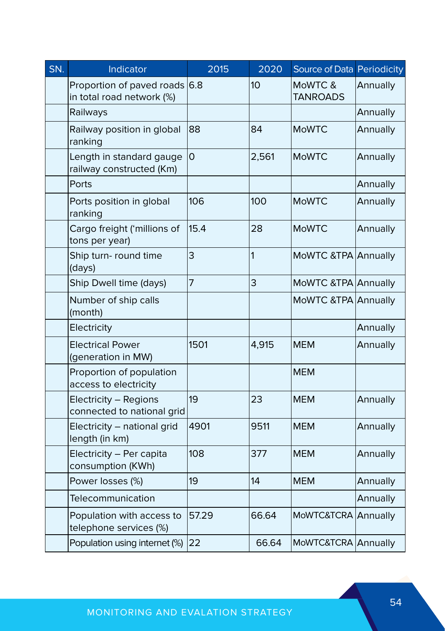| SN. | Indicator                                                  | 2015                                | 2020  | Source of Data Periodicity |          |
|-----|------------------------------------------------------------|-------------------------------------|-------|----------------------------|----------|
|     | Proportion of paved roads 6.8<br>in total road network (%) |                                     | 10    | MoWTC &<br><b>TANROADS</b> | Annually |
|     | Railways                                                   |                                     |       |                            | Annually |
|     | Railway position in global<br>ranking                      | 88<br>84<br>$\overline{O}$<br>2,561 |       | <b>MoWTC</b>               | Annually |
|     | Length in standard gauge<br>railway constructed (Km)       |                                     |       | <b>MoWTC</b>               | Annually |
|     | Ports                                                      |                                     |       |                            | Annually |
|     | Ports position in global<br>ranking                        | 106                                 | 100   | <b>MoWTC</b>               | Annually |
|     | Cargo freight ('millions of<br>tons per year)              | 15.4                                | 28    | <b>MoWTC</b>               | Annually |
|     | Ship turn- round time<br>(days)                            | 3                                   | 1     | MoWTC &TPA Annually        |          |
|     | Ship Dwell time (days)                                     | 7                                   | 3     | MoWTC &TPA Annually        |          |
|     | Number of ship calls<br>(month)                            |                                     |       | MoWTC &TPA Annually        |          |
|     | Electricity                                                |                                     |       |                            | Annually |
|     | <b>Electrical Power</b><br>(generation in MW)              | 1501                                | 4,915 | <b>MEM</b>                 | Annually |
|     | Proportion of population<br>access to electricity          |                                     |       | <b>MEM</b>                 |          |
|     | Electricity - Regions<br>connected to national grid        | 19                                  | 23    | <b>MEM</b>                 | Annually |
|     | Electricity - national grid<br>length (in km)              | 4901                                | 9511  | <b>MEM</b>                 | Annually |
|     | Electricity - Per capita<br>consumption (KWh)              | 108                                 | 377   | <b>MEM</b>                 | Annually |
|     | Power losses (%)                                           | 19                                  | 14    | <b>MEM</b>                 | Annually |
|     | Telecommunication                                          |                                     |       |                            | Annually |
|     | Population with access to<br>telephone services (%)        | 57.29                               | 66.64 | MoWTC&TCRA Annually        |          |
|     | Population using internet (%)                              | 22                                  | 66.64 | MoWTC&TCRA Annually        |          |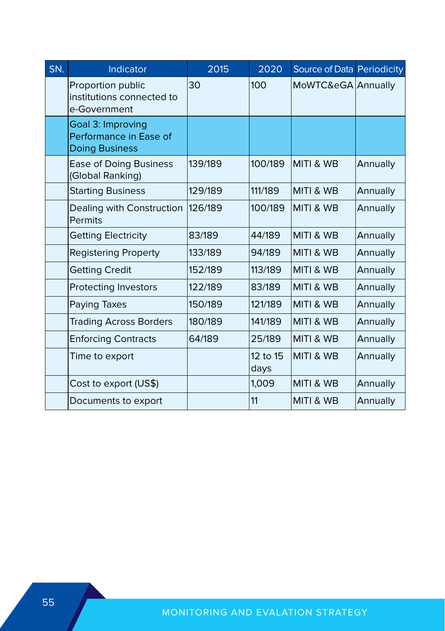| SN. | Indicator                                                            | 2015    | 2020             | Source of Data Periodicity |          |
|-----|----------------------------------------------------------------------|---------|------------------|----------------------------|----------|
|     | Proportion public<br>institutions connected to<br>e-Government       | 30      | 100              | MoWTC&eGA Annually         |          |
|     | Goal 3: Improving<br>Performance in Ease of<br><b>Doing Business</b> |         |                  |                            |          |
|     | <b>Ease of Doing Business</b><br>(Global Ranking)                    | 139/189 | 100/189          | <b>MITI &amp; WB</b>       | Annually |
|     | <b>Starting Business</b>                                             | 129/189 | 111/189          | MITI & WB                  | Annually |
|     | Dealing with Construction<br>Permits                                 | 126/189 | 100/189          | MITI & WB                  | Annually |
|     | <b>Getting Electricity</b>                                           | 83/189  | 44/189           | MITI & WB                  | Annually |
|     | <b>Registering Property</b>                                          | 133/189 | 94/189           | <b>MITI &amp; WB</b>       | Annually |
|     | <b>Getting Credit</b>                                                | 152/189 | 113/189          | <b>MITI &amp; WB</b>       | Annually |
|     | Protecting Investors                                                 | 122/189 | 83/189           | MITI & WB                  | Annually |
|     | Paying Taxes                                                         | 150/189 | 121/189          | MITI & WB                  | Annually |
|     | <b>Trading Across Borders</b>                                        | 180/189 | 141/189          | <b>MITI &amp; WB</b>       | Annually |
|     | <b>Enforcing Contracts</b>                                           | 64/189  | 25/189           | <b>MITI &amp; WB</b>       | Annually |
|     | Time to export                                                       |         | 12 to 15<br>days | MITI & WB                  | Annually |
|     | Cost to export (US\$)                                                |         | 1,009            | MITI & WB                  | Annually |
|     | Documents to export                                                  |         | 11               | MITI & WB                  | Annually |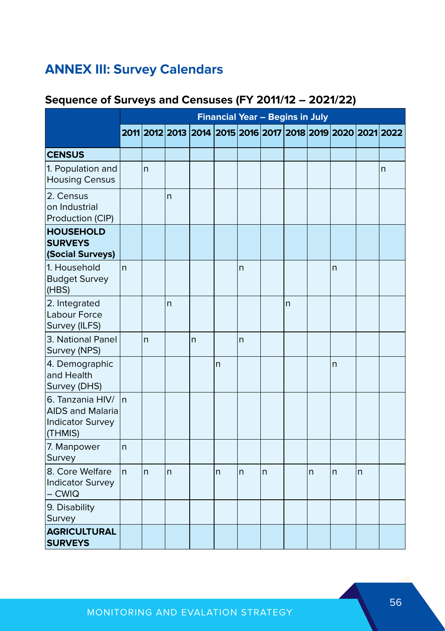## **ANNEX III: Survey Calendars**

#### **Sequence of Surveys and Censuses (FY 2011/12 – 2021/22)**

|                                                                                   |              |              |              |   |              | <b>Financial Year - Begins in July</b> |   |                |   |                                                             |    |   |
|-----------------------------------------------------------------------------------|--------------|--------------|--------------|---|--------------|----------------------------------------|---|----------------|---|-------------------------------------------------------------|----|---|
|                                                                                   |              |              |              |   |              |                                        |   |                |   | 2011 2012 2013 2014 2015 2016 2017 2018 2019 2020 2021 2022 |    |   |
| <b>CENSUS</b>                                                                     |              |              |              |   |              |                                        |   |                |   |                                                             |    |   |
| 1. Population and<br><b>Housing Census</b>                                        |              | $\mathsf{n}$ |              |   |              |                                        |   |                |   |                                                             |    | n |
| 2. Census<br>on Industrial<br>Production (CIP)                                    |              |              | n            |   |              |                                        |   |                |   |                                                             |    |   |
| <b>HOUSEHOLD</b><br><b>SURVEYS</b><br>(Social Surveys)                            |              |              |              |   |              |                                        |   |                |   |                                                             |    |   |
| 1. Household<br><b>Budget Survey</b><br>(HBS)                                     | n            |              |              |   |              | n                                      |   |                |   | $\mathsf{n}$                                                |    |   |
| 2. Integrated<br>Labour Force<br>Survey (ILFS)                                    |              |              | n            |   |              |                                        |   | $\overline{n}$ |   |                                                             |    |   |
| 3. National Panel<br>Survey (NPS)                                                 |              | n            |              | n |              | n                                      |   |                |   |                                                             |    |   |
| 4. Demographic<br>and Health<br>Survey (DHS)                                      |              |              |              |   | n            |                                        |   |                |   | $\overline{n}$                                              |    |   |
| 6. Tanzania HIV/<br><b>AIDS and Malaria</b><br><b>Indicator Survey</b><br>(THMIS) | In.          |              |              |   |              |                                        |   |                |   |                                                             |    |   |
| 7. Manpower<br>Survey                                                             | n            |              |              |   |              |                                        |   |                |   |                                                             |    |   |
| 8. Core Welfare<br><b>Indicator Survey</b><br>– CWIQ                              | <sub>n</sub> | n            | $\mathsf{n}$ |   | $\mathsf{n}$ | $\mathsf{n}$                           | n |                | n | $\mathsf{n}$                                                | n. |   |
| 9. Disability<br>Survey                                                           |              |              |              |   |              |                                        |   |                |   |                                                             |    |   |
| <b>AGRICULTURAL</b><br><b>SURVEYS</b>                                             |              |              |              |   |              |                                        |   |                |   |                                                             |    |   |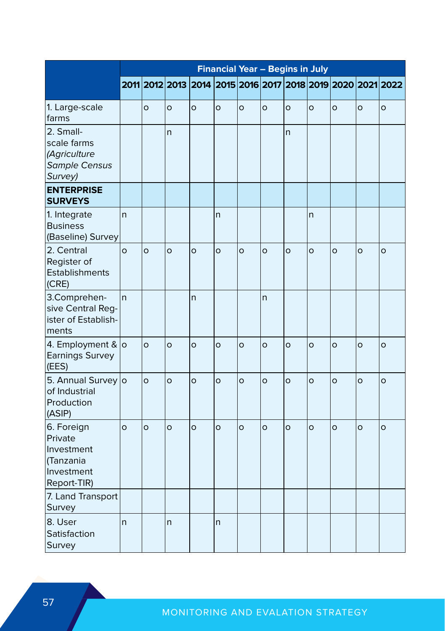|                                                                               | <b>Financial Year - Begins in July</b> |         |         |         |                |         |                |         |         |                                                             |         |         |
|-------------------------------------------------------------------------------|----------------------------------------|---------|---------|---------|----------------|---------|----------------|---------|---------|-------------------------------------------------------------|---------|---------|
|                                                                               |                                        |         |         |         |                |         |                |         |         | 2011 2012 2013 2014 2015 2016 2017 2018 2019 2020 2021 2022 |         |         |
| 1. Large-scale<br>farms                                                       |                                        | $\circ$ | $\circ$ | $\circ$ | $\circ$        | $\circ$ | $\circ$        | $\circ$ | $\circ$ | $\circ$                                                     | $\circ$ | $\circ$ |
| 2. Small-<br>scale farms<br>(Agriculture<br><b>Sample Census</b><br>Survey)   |                                        |         | n       |         |                |         |                | n       |         |                                                             |         |         |
| <b>ENTERPRISE</b><br><b>SURVEYS</b>                                           |                                        |         |         |         |                |         |                |         |         |                                                             |         |         |
| 1. Integrate<br><b>Business</b><br>(Baseline) Survey                          | $\mathsf{r}$                           |         |         |         | $\mathsf{n}$   |         |                |         | n       |                                                             |         |         |
| 2. Central<br>Register of<br>Establishments<br>(CRE)                          | $\Omega$                               | $\circ$ | $\circ$ | $\circ$ | $\circ$        | $\circ$ | $\circ$        | $\circ$ | $\circ$ | $\circ$                                                     | $\circ$ | $\circ$ |
| 3.Comprehen-<br>sive Central Reg-<br>ister of Establish-<br>ments             | $\mathsf{n}$                           |         |         | n       |                |         | $\overline{n}$ |         |         |                                                             |         |         |
| 4. Employment & o<br>Earnings Survey<br>(EES)                                 |                                        | $\circ$ | $\circ$ | $\circ$ | $\circ$        | $\circ$ | $\circ$        | $\circ$ | $\circ$ | $\circ$                                                     | $\circ$ | $\circ$ |
| 5. Annual Survey o<br>of Industrial<br>Production<br>(ASIP)                   |                                        | $\circ$ | $\circ$ | $\circ$ | $\overline{O}$ | $\circ$ | $\circ$        | $\circ$ | $\circ$ | $\circ$                                                     | $\circ$ | $\circ$ |
| 6. Foreign<br>Private<br>Investment<br>(Tanzania<br>Investment<br>Report-TIR) | $\circ$                                | $\circ$ | $\circ$ | $\circ$ | $\circ$        | $\circ$ | $\circ$        | $\circ$ | $\circ$ | $\circ$                                                     | $\circ$ | $\circ$ |
| 7. Land Transport<br>Survey                                                   |                                        |         |         |         |                |         |                |         |         |                                                             |         |         |
| 8. User<br>Satisfaction<br>Survey                                             | n                                      |         | n       |         | $\mathsf{n}$   |         |                |         |         |                                                             |         |         |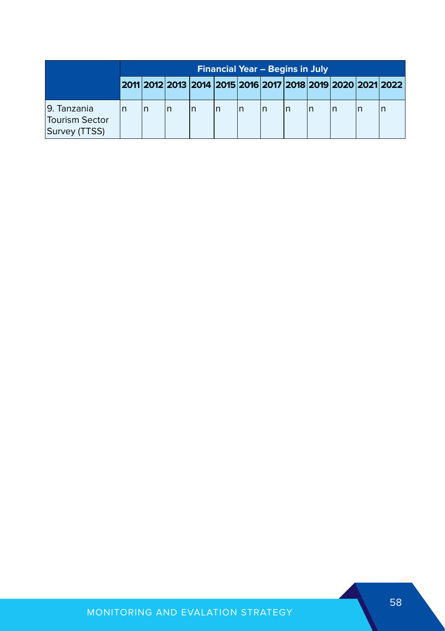|                                                 | <b>Financial Year - Begins in July</b> |  |  |  |  |   |  |    |  |  |                                                                                   |
|-------------------------------------------------|----------------------------------------|--|--|--|--|---|--|----|--|--|-----------------------------------------------------------------------------------|
|                                                 |                                        |  |  |  |  |   |  |    |  |  | 2011   2012   2013   2014   2015   2016   2017   2018   2019   2020   2021   2022 |
| 19. Tanzania<br>Tourism Sector<br>Survey (TTSS) |                                        |  |  |  |  | n |  | ın |  |  |                                                                                   |

#### MONITORING AND EVALATION STRATEGY